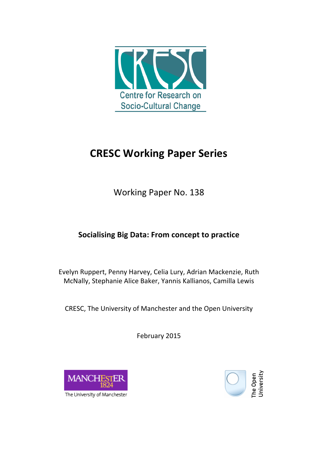

# **CRESC Working Paper Series**

Working Paper No. 138

## **Socialising Big Data: From concept to practice**

Evelyn Ruppert, Penny Harvey, Celia Lury, Adrian Mackenzie, Ruth McNally, Stephanie Alice Baker, Yannis Kallianos, Camilla Lewis

CRESC, The University of Manchester and the Open University

February 2015





The University of Manchester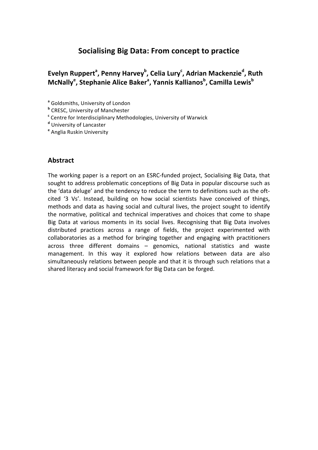## **Socialising Big Data: From concept to practice**

## Evelyn Ruppert<sup>a</sup>, Penny Harvey<sup>b</sup>, Celia Lury<sup>c</sup>, Adrian Mackenzie<sup>d</sup>, Ruth **McNally<sup>e</sup>, Stephanie Alice Baker<sup>a</sup>, Yannis Kallianos<sup>b</sup>, Camilla Lewis<sup>b</sup>**

<sup>a</sup> Goldsmiths, University of London

**b** CRESC, University of Manchester

<sup>c</sup> Centre for Interdisciplinary Methodologies, University of Warwick

<sup>d</sup> University of Lancaster

<sup>e</sup> Anglia Ruskin University

#### **Abstract**

The working paper is a report on an ESRC-funded project, Socialising Big Data, that sought to address problematic conceptions of Big Data in popular discourse such as the 'data deluge' and the tendency to reduce the term to definitions such as the oftcited '3 Vs'. Instead, building on how social scientists have conceived of things, methods and data as having social and cultural lives, the project sought to identify the normative, political and technical imperatives and choices that come to shape Big Data at various moments in its social lives. Recognising that Big Data involves distributed practices across a range of fields, the project experimented with collaboratories as a method for bringing together and engaging with practitioners across three different domains  $-$  genomics, national statistics and waste management. In this way it explored how relations between data are also simultaneously relations between people and that it is through such relations that a shared literacy and social framework for Big Data can be forged.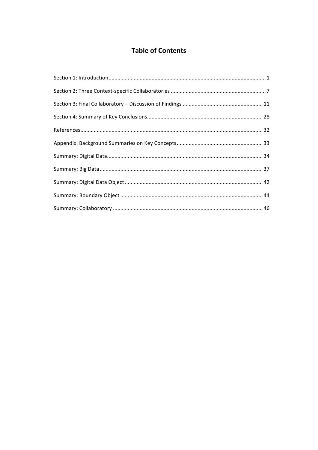## **Table of Contents**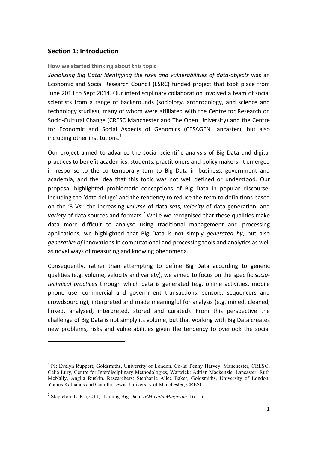#### **Section 1: Introduction**

#### How we started thinking about this topic

Socialising Big Data: Identifying the risks and vulnerabilities of data-objects was an Economic and Social Research Council (ESRC) funded project that took place from June 2013 to Sept 2014. Our interdisciplinary collaboration involved a team of social scientists from a range of backgrounds (sociology, anthropology, and science and technology studies), many of whom were affiliated with the Centre for Research on Socio-Cultural Change (CRESC Manchester and The Open University) and the Centre for Economic and Social Aspects of Genomics (CESAGEN Lancaster), but also including other institutions. $1$ 

Our project aimed to advance the social scientific analysis of Big Data and digital practices to benefit academics, students, practitioners and policy makers. It emerged in response to the contemporary turn to Big Data in business, government and academia, and the idea that this topic was not well defined or understood. Our proposal highlighted problematic conceptions of Big Data in popular discourse, including the 'data deluge' and the tendency to reduce the term to definitions based on the '3 Vs': the increasing *volume* of data sets, *velocity* of data generation, and *variety* of data sources and formats.<sup>2</sup> While we recognised that these qualities make data more difficult to analyse using traditional management and processing applications, we highlighted that Big Data is not simply *generated by*, but also *generative of* innovations in computational and processing tools and analytics as well as novel ways of measuring and knowing phenomena.

Consequently, rather than attempting to define Big Data according to generic qualities (e.g. volume, velocity and variety), we aimed to focus on the specific *sociotechnical practices* through which data is generated (e.g. online activities, mobile phone use, commercial and government transactions, sensors, sequencers and crowdsourcing), interpreted and made meaningful for analysis (e.g. mined, cleaned, linked, analysed, interpreted, stored and curated). From this perspective the challenge of Big Data is not simply its volume, but that working with Big Data creates new problems, risks and vulnerabilities given the tendency to overlook the social

1

<sup>1</sup> PI: Evelyn Ruppert, Goldsmiths, University of London. Co-Is: Penny Harvey, Manchester, CRESC; Celia Lury, Centre for Interdisciplinary Methodologies, Warwick; Adrian Mackenzie, Lancaster; Ruth McNally, Anglia Ruskin. Researchers: Stephanie Alice Baker, Goldsmiths, University of London; Yannis Kallianos and Camilla Lewis, University of Manchester, CRESC.

<sup>2</sup> Stapleton, L. K. (2011). Taming Big Data. *IBM Data Magazine*. 16: 1-6.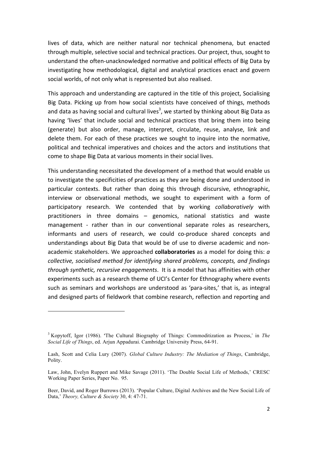lives of data, which are neither natural nor technical phenomena, but enacted through multiple, selective social and technical practices. Our project, thus, sought to understand the often-unacknowledged normative and political effects of Big Data by investigating how methodological, digital and analytical practices enact and govern social worlds, of not only what is represented but also realised.

This approach and understanding are captured in the title of this project, Socialising Big Data. Picking up from how social scientists have conceived of things, methods and data as having social and cultural lives<sup>3</sup>, we started by thinking about Big Data as having 'lives' that include social and technical practices that bring them into being (generate) but also order, manage, interpret, circulate, reuse, analyse, link and delete them. For each of these practices we sought to inquire into the normative, political and technical imperatives and choices and the actors and institutions that come to shape Big Data at various moments in their social lives.

This understanding necessitated the development of a method that would enable us to investigate the specificities of practices as they are being done and understood in particular contexts. But rather than doing this through discursive, ethnographic, interview or observational methods, we sought to experiment with a form of participatory research. We contended that by working *collaboratively* with practitioners in three domains  $-$  genomics, national statistics and waste management - rather than in our conventional separate roles as researchers, informants and users of research, we could co-produce shared concepts and understandings about Big Data that would be of use to diverse academic and nonacademic stakeholders. We approached **collaboratories** as a model for doing this: *a collective, socialised method for identifying shared problems, concepts, and findings through synthetic, recursive engagements*. It is a model that has affinities with other experiments such as a research theme of UCI's Center for Ethnography where events such as seminars and workshops are understood as 'para-sites,' that is, as integral and designed parts of fieldwork that combine research, reflection and reporting and

1

<sup>3</sup> Kopytoff, Igor (1986). 'The Cultural Biography of Things: Commoditization as Process,' in *The Social Life of Things*, ed. Arjun Appadurai. Cambridge University Press, 64-91.

Lash, Scott and Celia Lury (2007). *Global Culture Industry: The Mediation of Things*, Cambridge, Polity.

Law, John, Evelyn Ruppert and Mike Savage (2011). 'The Double Social Life of Methods,' CRESC Working Paper Series, Paper No. 95.

Beer, David, and Roger Burrows (2013). 'Popular Culture, Digital Archives and the New Social Life of Data,' *Theory, Culture & Society* 30, 4: 47-71.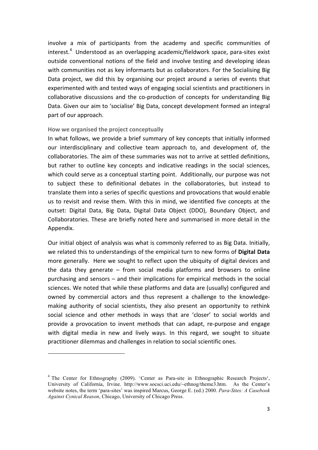involve a mix of participants from the academy and specific communities of  $i$ nterest.<sup>4</sup> Understood as an overlapping academic/fieldwork space, para-sites exist outside conventional notions of the field and involve testing and developing ideas with communities not as key informants but as collaborators. For the Socialising Big Data project, we did this by organising our project around a series of events that experimented with and tested ways of engaging social scientists and practitioners in collaborative discussions and the co-production of concepts for understanding Big Data. Given our aim to 'socialise' Big Data, concept development formed an integral part of our approach.

#### How we organised the project conceptually

1

In what follows, we provide a brief summary of key concepts that initially informed our interdisciplinary and collective team approach to, and development of, the collaboratories. The aim of these summaries was not to arrive at settled definitions, but rather to outline key concepts and indicative readings in the social sciences, which could serve as a conceptual starting point. Additionally, our purpose was not to subject these to definitional debates in the collaboratories, but instead to translate them into a series of specific questions and provocations that would enable us to revisit and revise them. With this in mind, we identified five concepts at the outset: Digital Data, Big Data, Digital Data Object (DDO), Boundary Object, and Collaboratories. These are briefly noted here and summarised in more detail in the Appendix.

Our initial object of analysis was what is commonly referred to as Big Data. Initially, we related this to understandings of the empirical turn to new forms of **Digital Data** more generally. Here we sought to reflect upon the ubiquity of digital devices and the data they generate  $-$  from social media platforms and browsers to online purchasing and sensors – and their implications for empirical methods in the social sciences. We noted that while these platforms and data are (usually) configured and owned by commercial actors and thus represent a challenge to the knowledgemaking authority of social scientists, they also present an opportunity to rethink social science and other methods in ways that are 'closer' to social worlds and provide a provocation to invent methods that can adapt, re-purpose and engage with digital media in new and lively ways. In this regard, we sought to situate practitioner dilemmas and challenges in relation to social scientific ones.

<sup>&</sup>lt;sup>4</sup> The Center for Ethnography (2009). 'Center as Para-site in Ethnographic Research Projects', University of California, Irvine. http://www.socsci.uci.edu/~ethnog/theme3.htm. As the Center's website notes, the term 'para-sites' was inspired Marcus, George E. (ed.) 2000. *Para-Sites: A Casebook Against Cynical Reason*, Chicago, University of Chicago Press.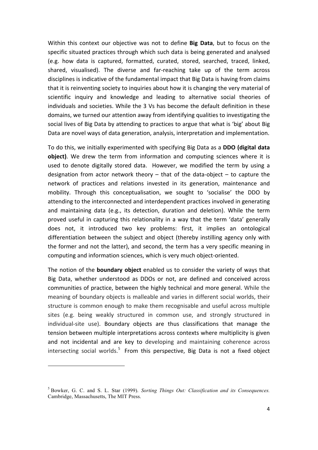Within this context our objective was not to define **Big Data**, but to focus on the specific situated practices through which such data is being generated and analysed (e.g. how data is captured, formatted, curated, stored, searched, traced, linked, shared, visualised). The diverse and far-reaching take up of the term across disciplines is indicative of the fundamental impact that Big Data is having from claims that it is reinventing society to inquiries about how it is changing the very material of scientific inquiry and knowledge and leading to alternative social theories of individuals and societies. While the 3 Vs has become the default definition in these domains, we turned our attention away from identifying qualities to investigating the social lives of Big Data by attending to practices to argue that what is 'big' about Big Data are novel ways of data generation, analysis, interpretation and implementation.

To do this, we initially experimented with specifying Big Data as a **DDO (digital data object)**. We drew the term from information and computing sciences where it is used to denote digitally stored data. However, we modified the term by using a designation from actor network theory  $-$  that of the data-object  $-$  to capture the network of practices and relations invested in its generation, maintenance and mobility. Through this conceptualisation, we sought to 'socialise' the DDO by attending to the interconnected and interdependent practices involved in generating and maintaining data (e.g., its detection, duration and deletion). While the term proved useful in capturing this relationality in a way that the term 'data' generally does not, it introduced two key problems: first, it implies an ontological differentiation between the subject and object (thereby instilling agency only with the former and not the latter), and second, the term has a very specific meaning in computing and information sciences, which is very much object-oriented.

The notion of the **boundary object** enabled us to consider the variety of ways that Big Data, whether understood as DDOs or not, are defined and conceived across communities of practice, between the highly technical and more general. While the meaning of boundary objects is malleable and varies in different social worlds, their structure is common enough to make them recognisable and useful across multiple sites (e.g. being weakly structured in common use, and strongly structured in individual-site use). Boundary objects are thus classifications that manage the tension between multiple interpretations across contexts where multiplicity is given and not incidental and are key to developing and maintaining coherence across intersecting social worlds.<sup>5</sup> From this perspective, Big Data is not a fixed object

1

<sup>5</sup> Bowker, G. C. and S. L. Star (1999). *Sorting Things Out: Classification and its Consequences.*  Cambridge, Massachusetts, The MIT Press.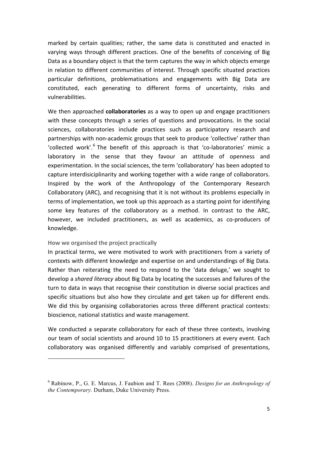marked by certain qualities; rather, the same data is constituted and enacted in varying ways through different practices. One of the benefits of conceiving of Big Data as a boundary object is that the term captures the way in which objects emerge in relation to different communities of interest. Through specific situated practices particular definitions, problematisations and engagements with Big Data are constituted, each generating to different forms of uncertainty, risks and vulnerabilities.

We then approached **collaboratories** as a way to open up and engage practitioners with these concepts through a series of questions and provocations. In the social sciences, collaboratories include practices such as participatory research and partnerships with non-academic groups that seek to produce 'collective' rather than 'collected work'.<sup>6</sup> The benefit of this approach is that 'co-laboratories' mimic a laboratory in the sense that they favour an attitude of openness and experimentation. In the social sciences, the term 'collaboratory' has been adopted to capture interdisiciplinarity and working together with a wide range of collaborators. Inspired by the work of the Anthropology of the Contemporary Research Collaboratory (ARC), and recognising that it is not without its problems especially in terms of implementation, we took up this approach as a starting point for identifying some key features of the collaboratory as a method. In contrast to the ARC, however, we included practitioners, as well as academics, as co-producers of knowledge. 

#### **How we organised the project practically**

1

In practical terms, we were motivated to work with practitioners from a variety of contexts with different knowledge and expertise on and understandings of Big Data. Rather than reiterating the need to respond to the 'data deluge,' we sought to develop a *shared literacy* about Big Data by locating the successes and failures of the turn to data in ways that recognise their constitution in diverse social practices and specific situations but also how they circulate and get taken up for different ends. We did this by organising collaboratories across three different practical contexts: bioscience, national statistics and waste management.

We conducted a separate collaboratory for each of these three contexts, involving our team of social scientists and around 10 to 15 practitioners at every event. Each collaboratory was organised differently and variably comprised of presentations,

<sup>6</sup> Rabinow, P., G. E. Marcus, J. Faubion and T. Rees (2008). *Designs for an Anthropology of the Contemporary*. Durham, Duke University Press.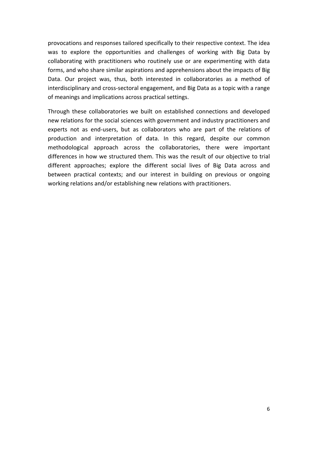provocations and responses tailored specifically to their respective context. The idea was to explore the opportunities and challenges of working with Big Data by collaborating with practitioners who routinely use or are experimenting with data forms, and who share similar aspirations and apprehensions about the impacts of Big Data. Our project was, thus, both interested in collaboratories as a method of interdisciplinary and cross-sectoral engagement, and Big Data as a topic with a range of meanings and implications across practical settings.

Through these collaboratories we built on established connections and developed new relations for the social sciences with government and industry practitioners and experts not as end-users, but as collaborators who are part of the relations of production and interpretation of data. In this regard, despite our common methodological approach across the collaboratories, there were important differences in how we structured them. This was the result of our objective to trial different approaches; explore the different social lives of Big Data across and between practical contexts; and our interest in building on previous or ongoing working relations and/or establishing new relations with practitioners.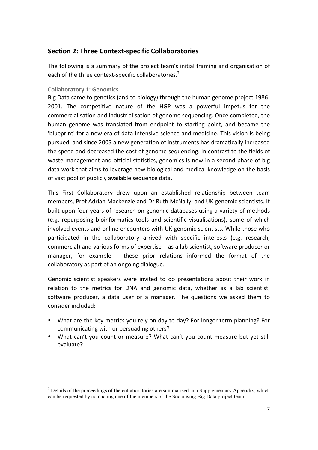### **Section 2: Three Context-specific Collaboratories**

The following is a summary of the project team's initial framing and organisation of each of the three context-specific collaboratories.<sup>7</sup>

#### **Collaboratory 1: Genomics**

1

Big Data came to genetics (and to biology) through the human genome project 1986-2001. The competitive nature of the HGP was a powerful impetus for the commercialisation and industrialisation of genome sequencing. Once completed, the human genome was translated from endpoint to starting point, and became the 'blueprint' for a new era of data-intensive science and medicine. This vision is being pursued, and since 2005 a new generation of instruments has dramatically increased the speed and decreased the cost of genome sequencing. In contrast to the fields of waste management and official statistics, genomics is now in a second phase of big data work that aims to leverage new biological and medical knowledge on the basis of vast pool of publicly available sequence data.

This First Collaboratory drew upon an established relationship between team members, Prof Adrian Mackenzie and Dr Ruth McNally, and UK genomic scientists. It built upon four years of research on genomic databases using a variety of methods (e.g. repurposing bioinformatics tools and scientific visualisations), some of which involved events and online encounters with UK genomic scientists. While those who participated in the collaboratory arrived with specific interests (e.g. research, commercial) and various forms of expertise  $-$  as a lab scientist, software producer or manager, for example  $-$  these prior relations informed the format of the collaboratory as part of an ongoing dialogue.

Genomic scientist speakers were invited to do presentations about their work in relation to the metrics for DNA and genomic data, whether as a lab scientist, software producer, a data user or a manager. The questions we asked them to consider included:

- What are the key metrics you rely on day to day? For longer term planning? For communicating with or persuading others?
- What can't you count or measure? What can't you count measure but yet still evaluate?

 $<sup>7</sup>$  Details of the proceedings of the collaboratories are summarised in a Supplementary Appendix, which</sup> can be requested by contacting one of the members of the Socialising Big Data project team.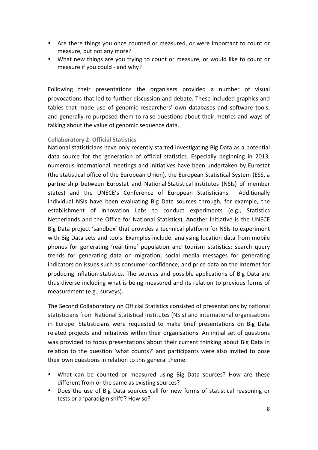- Are there things you once counted or measured, or were important to count or measure, but not any more?
- What new things are you trying to count or measure, or would like to count or measure if you could - and why?

Following their presentations the organisers provided a number of visual provocations that led to further discussion and debate. These included graphics and tables that made use of genomic researchers' own databases and software tools, and generally re-purposed them to raise questions about their metrics and ways of talking about the value of genomic sequence data.

#### **Collaboratory 2: Official Statistics**

National statisticians have only recently started investigating Big Data as a potential data source for the generation of official statistics. Especially beginning in 2013, numerous international meetings and initiatives have been undertaken by Eurostat (the statistical office of the European Union), the European Statistical System (ESS, a partnership between Eurostat and National Statistical Institutes (NSIs) of member states) and the UNECE's Conference of European Statisticians. Additionally individual NSIs have been evaluating Big Data sources through, for example, the establishment of Innovation Labs to conduct experiments (e.g., Statistics Netherlands and the Office for National Statistics). Another initiative is the UNECE Big Data project 'sandbox' that provides a technical platform for NSIs to experiment with Big Data sets and tools. Examples include: analysing location data from mobile phones for generating 'real-time' population and tourism statistics; search query trends for generating data on migration; social media messages for generating indicators on issues such as consumer confidence; and price data on the Internet for producing inflation statistics. The sources and possible applications of Big Data are thus diverse including what is being measured and its relation to previous forms of measurement (e.g., surveys).

The Second Collaboratory on Official Statistics consisted of presentations by national statisticians from National Statistical Institutes (NSIs) and international organisations in Europe. Statisticians were requested to make brief presentations on Big Data related projects and initiatives within their organisations. An initial set of questions was provided to focus presentations about their current thinking about Big Data in relation to the question 'what counts?' and participants were also invited to pose their own questions in relation to this general theme:

- What can be counted or measured using Big Data sources? How are these different from or the same as existing sources?
- Does the use of Big Data sources call for new forms of statistical reasoning or tests or a 'paradigm shift'? How so?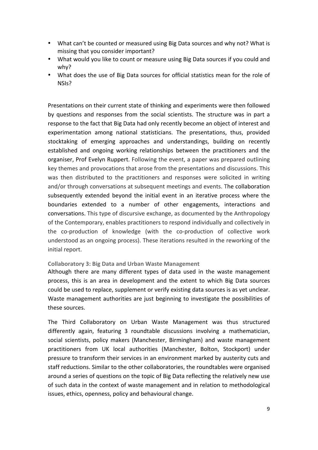- What can't be counted or measured using Big Data sources and why not? What is missing that you consider important?
- What would you like to count or measure using Big Data sources if you could and why?
- What does the use of Big Data sources for official statistics mean for the role of NSIs?

Presentations on their current state of thinking and experiments were then followed by questions and responses from the social scientists. The structure was in part a response to the fact that Big Data had only recently become an object of interest and experimentation among national statisticians. The presentations, thus, provided stocktaking of emerging approaches and understandings, building on recently established and ongoing working relationships between the practitioners and the organiser, Prof Evelyn Ruppert. Following the event, a paper was prepared outlining key themes and provocations that arose from the presentations and discussions. This was then distributed to the practitioners and responses were solicited in writing and/or through conversations at subsequent meetings and events. The collaboration subsequently extended beyond the initial event in an iterative process where the boundaries extended to a number of other engagements, interactions and conversations. This type of discursive exchange, as documented by the Anthropology of the Contemporary, enables practitioners to respond individually and collectively in the co-production of knowledge (with the co-production of collective work understood as an ongoing process). These iterations resulted in the reworking of the initial report.

#### **Collaboratory 3: Big Data and Urban Waste Management**

Although there are many different types of data used in the waste management process, this is an area in development and the extent to which Big Data sources could be used to replace, supplement or verify existing data sources is as yet unclear. Waste management authorities are just beginning to investigate the possibilities of these sources.

The Third Collaboratory on Urban Waste Management was thus structured differently again, featuring 3 roundtable discussions involving a mathematician, social scientists, policy makers (Manchester, Birmingham) and waste management practitioners from UK local authorities (Manchester, Bolton, Stockport) under pressure to transform their services in an environment marked by austerity cuts and staff reductions. Similar to the other collaboratories, the roundtables were organised around a series of questions on the topic of Big Data reflecting the relatively new use of such data in the context of waste management and in relation to methodological issues, ethics, openness, policy and behavioural change.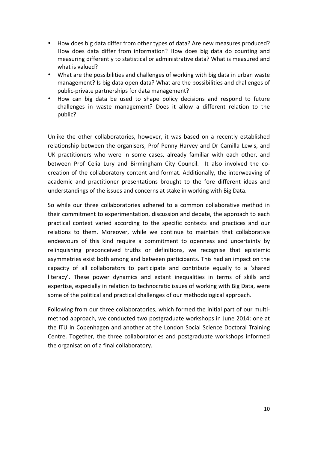- How does big data differ from other types of data? Are new measures produced? How does data differ from information? How does big data do counting and measuring differently to statistical or administrative data? What is measured and what is valued?
- What are the possibilities and challenges of working with big data in urban waste management? Is big data open data? What are the possibilities and challenges of public-private partnerships for data management?
- How can big data be used to shape policy decisions and respond to future challenges in waste management? Does it allow a different relation to the public?

Unlike the other collaboratories, however, it was based on a recently established relationship between the organisers, Prof Penny Harvey and Dr Camilla Lewis, and UK practitioners who were in some cases, already familiar with each other, and between Prof Celia Lury and Birmingham City Council. It also involved the cocreation of the collaboratory content and format. Additionally, the interweaving of academic and practitioner presentations brought to the fore different ideas and understandings of the issues and concerns at stake in working with Big Data.

So while our three collaboratories adhered to a common collaborative method in their commitment to experimentation, discussion and debate, the approach to each practical context varied according to the specific contexts and practices and our relations to them. Moreover, while we continue to maintain that collaborative endeavours of this kind require a commitment to openness and uncertainty by relinquishing preconceived truths or definitions, we recognise that epistemic asymmetries exist both among and between participants. This had an impact on the capacity of all collaborators to participate and contribute equally to a 'shared literacy'. These power dynamics and extant inequalities in terms of skills and expertise, especially in relation to technocratic issues of working with Big Data, were some of the political and practical challenges of our methodological approach.

Following from our three collaboratories, which formed the initial part of our multimethod approach, we conducted two postgraduate workshops in June 2014: one at the ITU in Copenhagen and another at the London Social Science Doctoral Training Centre. Together, the three collaboratories and postgraduate workshops informed the organisation of a final collaboratory.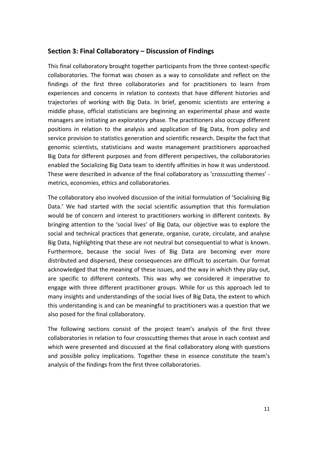#### **Section 3: Final Collaboratory – Discussion of Findings**

This final collaboratory brought together participants from the three context-specific collaboratories. The format was chosen as a way to consolidate and reflect on the findings of the first three collaboratories and for practitioners to learn from experiences and concerns in relation to contexts that have different histories and trajectories of working with Big Data. In brief, genomic scientists are entering a middle phase, official statisticians are beginning an experimental phase and waste managers are initiating an exploratory phase. The practitioners also occupy different positions in relation to the analysis and application of Big Data, from policy and service provision to statistics generation and scientific research. Despite the fact that genomic scientists, statisticians and waste management practitioners approached Big Data for different purposes and from different perspectives, the collaboratories enabled the Socializing Big Data team to identify affinities in how it was understood. These were described in advance of the final collaboratory as 'crosscutting themes' metrics, economies, ethics and collaboratories.

The collaboratory also involved discussion of the initial formulation of 'Socialising Big Data.' We had started with the social scientific assumption that this formulation would be of concern and interest to practitioners working in different contexts. By bringing attention to the 'social lives' of Big Data, our objective was to explore the social and technical practices that generate, organise, curate, circulate, and analyse Big Data, highlighting that these are not neutral but consequential to what is known. Furthermore, because the social lives of Big Data are becoming ever more distributed and dispersed, these consequences are difficult to ascertain. Our format acknowledged that the meaning of these issues, and the way in which they play out, are specific to different contexts. This was why we considered it imperative to engage with three different practitioner groups. While for us this approach led to many insights and understandings of the social lives of Big Data, the extent to which this understanding is and can be meaningful to practitioners was a question that we also posed for the final collaboratory.

The following sections consist of the project team's analysis of the first three collaboratories in relation to four crosscutting themes that arose in each context and which were presented and discussed at the final collaboratory along with questions and possible policy implications. Together these in essence constitute the team's analysis of the findings from the first three collaboratories.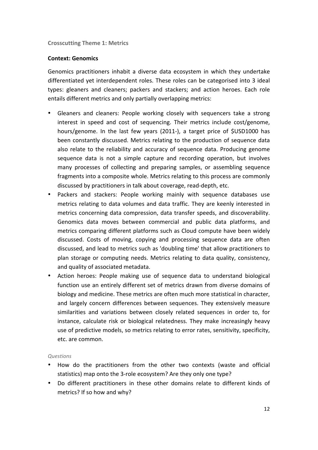#### **Crosscutting Theme 1: Metrics**

#### **Context: Genomics**

Genomics practitioners inhabit a diverse data ecosystem in which they undertake differentiated vet interdependent roles. These roles can be categorised into 3 ideal types: gleaners and cleaners; packers and stackers; and action heroes. Each role entails different metrics and only partially overlapping metrics:

- Gleaners and cleaners: People working closely with sequencers take a strong interest in speed and cost of sequencing. Their metrics include cost/genome, hours/genome. In the last few years (2011-), a target price of \$USD1000 has been constantly discussed. Metrics relating to the production of sequence data also relate to the reliability and accuracy of sequence data. Producing genome sequence data is not a simple capture and recording operation, but involves many processes of collecting and preparing samples, or assembling sequence fragments into a composite whole. Metrics relating to this process are commonly discussed by practitioners in talk about coverage, read-depth, etc.
- Packers and stackers: People working mainly with sequence databases use metrics relating to data volumes and data traffic. They are keenly interested in metrics concerning data compression, data transfer speeds, and discoverability. Genomics data moves between commercial and public data platforms, and metrics comparing different platforms such as Cloud compute have been widely discussed. Costs of moving, copying and processing sequence data are often discussed, and lead to metrics such as 'doubling time' that allow practitioners to plan storage or computing needs. Metrics relating to data quality, consistency, and quality of associated metadata.
- Action heroes: People making use of sequence data to understand biological function use an entirely different set of metrics drawn from diverse domains of biology and medicine. These metrics are often much more statistical in character, and largely concern differences between sequences. They extensively measure similarities and variations between closely related sequences in order to, for instance, calculate risk or biological relatedness. They make increasingly heavy use of predictive models, so metrics relating to error rates, sensitivity, specificity, etc. are common.

#### *Questions*

- How do the practitioners from the other two contexts (waste and official statistics) map onto the 3-role ecosystem? Are they only one type?
- Do different practitioners in these other domains relate to different kinds of metrics? If so how and why?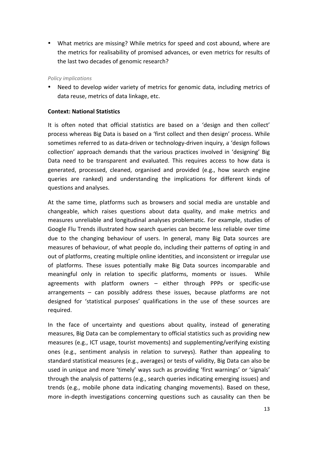• What metrics are missing? While metrics for speed and cost abound, where are the metrics for realisability of promised advances, or even metrics for results of the last two decades of genomic research?

#### *Policy implications*

• Need to develop wider variety of metrics for genomic data, including metrics of data reuse, metrics of data linkage, etc.

#### **Context: National Statistics**

It is often noted that official statistics are based on a 'design and then collect' process whereas Big Data is based on a 'first collect and then design' process. While sometimes referred to as data-driven or technology-driven inquiry, a 'design follows collection' approach demands that the various practices involved in 'designing' Big Data need to be transparent and evaluated. This requires access to how data is generated, processed, cleaned, organised and provided (e.g., how search engine queries are ranked) and understanding the implications for different kinds of questions and analyses.

At the same time, platforms such as browsers and social media are unstable and changeable, which raises questions about data quality, and make metrics and measures unreliable and longitudinal analyses problematic. For example, studies of Google Flu Trends illustrated how search queries can become less reliable over time due to the changing behaviour of users. In general, many Big Data sources are measures of behaviour, of what people do, including their patterns of opting in and out of platforms, creating multiple online identities, and inconsistent or irregular use of platforms. These issues potentially make Big Data sources incomparable and meaningful only in relation to specific platforms, moments or issues. While agreements with platform owners - either through PPPs or specific-use arrangements  $-$  can possibly address these issues, because platforms are not designed for 'statistical purposes' qualifications in the use of these sources are required. 

In the face of uncertainty and questions about quality, instead of generating measures, Big Data can be complementary to official statistics such as providing new measures (e.g., ICT usage, tourist movements) and supplementing/verifying existing ones (e.g., sentiment analysis in relation to surveys). Rather than appealing to standard statistical measures (e.g., averages) or tests of validity, Big Data can also be used in unique and more 'timely' ways such as providing 'first warnings' or 'signals' through the analysis of patterns (e.g., search queries indicating emerging issues) and trends (e.g., mobile phone data indicating changing movements). Based on these, more in-depth investigations concerning questions such as causality can then be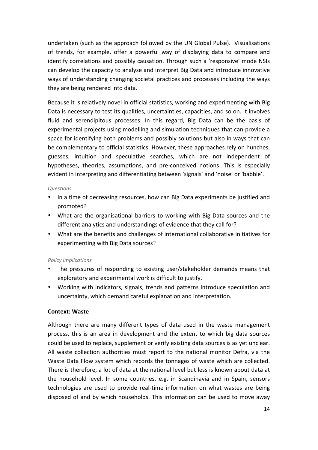undertaken (such as the approach followed by the UN Global Pulse). Visualisations of trends, for example, offer a powerful way of displaying data to compare and identify correlations and possibly causation. Through such a 'responsive' mode NSIs can develop the capacity to analyse and interpret Big Data and introduce innovative ways of understanding changing societal practices and processes including the ways they are being rendered into data.

Because it is relatively novel in official statistics, working and experimenting with Big Data is necessary to test its qualities, uncertainties, capacities, and so on. It involves fluid and serendipitous processes. In this regard, Big Data can be the basis of experimental projects using modelling and simulation techniques that can provide a space for identifying both problems and possibly solutions but also in ways that can be complementary to official statistics. However, these approaches rely on hunches, guesses, intuition and speculative searches, which are not independent of hypotheses, theories, assumptions, and pre-conceived notions. This is especially evident in interpreting and differentiating between 'signals' and 'noise' or 'babble'.

#### *Questions*

- In a time of decreasing resources, how can Big Data experiments be justified and promoted?
- What are the organisational barriers to working with Big Data sources and the different analytics and understandings of evidence that they call for?
- What are the benefits and challenges of international collaborative initiatives for experimenting with Big Data sources?

#### *Policy implications*

- The pressures of responding to existing user/stakeholder demands means that exploratory and experimental work is difficult to justify.
- Working with indicators, signals, trends and patterns introduce speculation and uncertainty, which demand careful explanation and interpretation.

#### **Context: Waste**

Although there are many different types of data used in the waste management process, this is an area in development and the extent to which big data sources could be used to replace, supplement or verify existing data sources is as yet unclear. All waste collection authorities must report to the national monitor Defra, via the Waste Data Flow system which records the tonnages of waste which are collected. There is therefore, a lot of data at the national level but less is known about data at the household level. In some countries, e.g. in Scandinavia and in Spain, sensors technologies are used to provide real-time information on what wastes are being disposed of and by which households. This information can be used to move away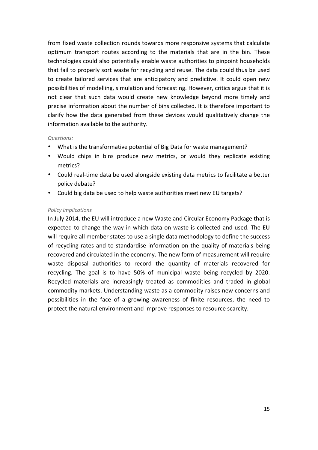from fixed waste collection rounds towards more responsive systems that calculate optimum transport routes according to the materials that are in the bin. These technologies could also potentially enable waste authorities to pinpoint households that fail to properly sort waste for recycling and reuse. The data could thus be used to create tailored services that are anticipatory and predictive. It could open new possibilities of modelling, simulation and forecasting. However, critics argue that it is not clear that such data would create new knowledge beyond more timely and precise information about the number of bins collected. It is therefore important to clarify how the data generated from these devices would qualitatively change the information available to the authority.

#### *Questions:*

- What is the transformative potential of Big Data for waste management?
- Would chips in bins produce new metrics, or would they replicate existing metrics?
- Could real-time data be used alongside existing data metrics to facilitate a better policy debate?
- Could big data be used to help waste authorities meet new EU targets?

#### *Policy implications*

In July 2014, the EU will introduce a new Waste and Circular Economy Package that is expected to change the way in which data on waste is collected and used. The EU will require all member states to use a single data methodology to define the success of recycling rates and to standardise information on the quality of materials being recovered and circulated in the economy. The new form of measurement will require waste disposal authorities to record the quantity of materials recovered for recycling. The goal is to have 50% of municipal waste being recycled by 2020. Recycled materials are increasingly treated as commodities and traded in global commodity markets. Understanding waste as a commodity raises new concerns and possibilities in the face of a growing awareness of finite resources, the need to protect the natural environment and improve responses to resource scarcity.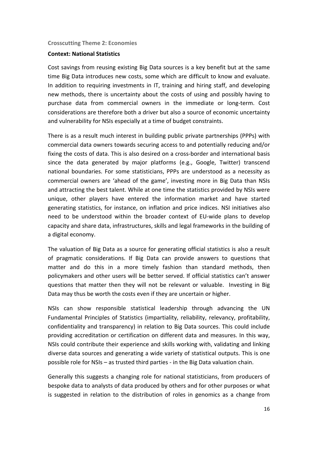#### **Crosscutting Theme 2: Economies**

#### **Context: National Statistics**

Cost savings from reusing existing Big Data sources is a key benefit but at the same time Big Data introduces new costs, some which are difficult to know and evaluate. In addition to requiring investments in IT, training and hiring staff, and developing new methods, there is uncertainty about the costs of using and possibly having to purchase data from commercial owners in the immediate or long-term. Cost considerations are therefore both a driver but also a source of economic uncertainty and vulnerability for NSIs especially at a time of budget constraints.

There is as a result much interest in building public private partnerships (PPPs) with commercial data owners towards securing access to and potentially reducing and/or fixing the costs of data. This is also desired on a cross-border and international basis since the data generated by major platforms (e.g., Google, Twitter) transcend national boundaries. For some statisticians, PPPs are understood as a necessity as commercial owners are 'ahead of the game', investing more in Big Data than NSIs and attracting the best talent. While at one time the statistics provided by NSIs were unique, other players have entered the information market and have started generating statistics, for instance, on inflation and price indices. NSI initiatives also need to be understood within the broader context of EU-wide plans to develop capacity and share data, infrastructures, skills and legal frameworks in the building of a digital economy.

The valuation of Big Data as a source for generating official statistics is also a result of pragmatic considerations. If Big Data can provide answers to questions that matter and do this in a more timely fashion than standard methods, then policymakers and other users will be better served. If official statistics can't answer questions that matter then they will not be relevant or valuable. Investing in Big Data may thus be worth the costs even if they are uncertain or higher.

NSIs can show responsible statistical leadership through advancing the UN Fundamental Principles of Statistics (impartiality, reliability, relevancy, profitability, confidentiality and transparency) in relation to Big Data sources. This could include providing accreditation or certification on different data and measures. In this way, NSIs could contribute their experience and skills working with, validating and linking diverse data sources and generating a wide variety of statistical outputs. This is one possible role for NSIs – as trusted third parties - in the Big Data valuation chain.

Generally this suggests a changing role for national statisticians, from producers of bespoke data to analysts of data produced by others and for other purposes or what is suggested in relation to the distribution of roles in genomics as a change from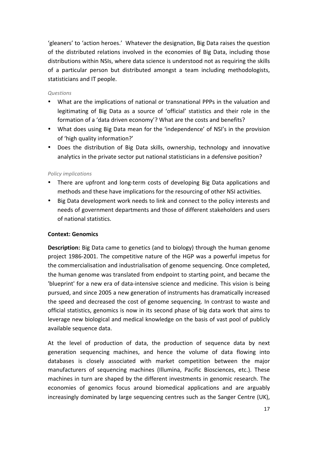'gleaners' to 'action heroes.' Whatever the designation, Big Data raises the question of the distributed relations involved in the economies of Big Data, including those distributions within NSIs, where data science is understood not as requiring the skills of a particular person but distributed amongst a team including methodologists, statisticians and IT people.

#### *Questions*

- What are the implications of national or transnational PPPs in the valuation and legitimating of Big Data as a source of 'official' statistics and their role in the formation of a 'data driven economy'? What are the costs and benefits?
- What does using Big Data mean for the 'independence' of NSI's in the provision of 'high quality information?'
- Does the distribution of Big Data skills, ownership, technology and innovative analytics in the private sector put national statisticians in a defensive position?

#### *Policy implications*

- There are upfront and long-term costs of developing Big Data applications and methods and these have implications for the resourcing of other NSI activities.
- Big Data development work needs to link and connect to the policy interests and needs of government departments and those of different stakeholders and users of national statistics.

#### **Context: Genomics**

**Description:** Big Data came to genetics (and to biology) through the human genome project 1986-2001. The competitive nature of the HGP was a powerful impetus for the commercialisation and industrialisation of genome sequencing. Once completed, the human genome was translated from endpoint to starting point, and became the 'blueprint' for a new era of data-intensive science and medicine. This vision is being pursued, and since 2005 a new generation of instruments has dramatically increased the speed and decreased the cost of genome sequencing. In contrast to waste and official statistics, genomics is now in its second phase of big data work that aims to leverage new biological and medical knowledge on the basis of vast pool of publicly available sequence data.

At the level of production of data, the production of sequence data by next generation sequencing machines, and hence the volume of data flowing into databases is closely associated with market competition between the major manufacturers of sequencing machines (Illumina, Pacific Biosciences, etc.). These machines in turn are shaped by the different investments in genomic research. The economies of genomics focus around biomedical applications and are arguably increasingly dominated by large sequencing centres such as the Sanger Centre (UK),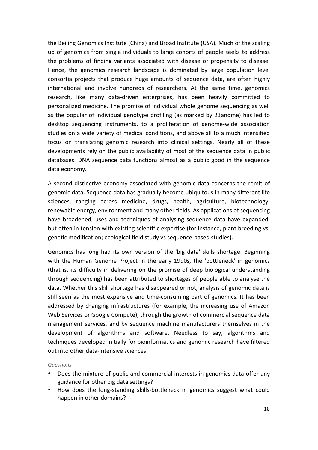the Beijing Genomics Institute (China) and Broad Institute (USA). Much of the scaling up of genomics from single individuals to large cohorts of people seeks to address the problems of finding variants associated with disease or propensity to disease. Hence, the genomics research landscape is dominated by large population level consortia projects that produce huge amounts of sequence data, are often highly international and involve hundreds of researchers. At the same time, genomics research, like many data-driven enterprises, has been heavily committed to personalized medicine. The promise of individual whole genome sequencing as well as the popular of individual genotype profiling (as marked by 23andme) has led to desktop sequencing instruments, to a proliferation of genome-wide association studies on a wide variety of medical conditions, and above all to a much intensified focus on translating genomic research into clinical settings. Nearly all of these developments rely on the public availability of most of the sequence data in public databases. DNA sequence data functions almost as a public good in the sequence data economy.

A second distinctive economy associated with genomic data concerns the remit of genomic data. Sequence data has gradually become ubiquitous in many different life sciences, ranging across medicine, drugs, health, agriculture, biotechnology, renewable energy, environment and many other fields. As applications of sequencing have broadened, uses and techniques of analysing sequence data have expanded, but often in tension with existing scientific expertise (for instance, plant breeding vs. genetic modification; ecological field study vs sequence-based studies).

Genomics has long had its own version of the 'big data' skills shortage. Beginning with the Human Genome Project in the early 1990s, the 'bottleneck' in genomics (that is, its difficulty in delivering on the promise of deep biological understanding through sequencing) has been attributed to shortages of people able to analyse the data. Whether this skill shortage has disappeared or not, analysis of genomic data is still seen as the most expensive and time-consuming part of genomics. It has been addressed by changing infrastructures (for example, the increasing use of Amazon Web Services or Google Compute), through the growth of commercial sequence data management services, and by sequence machine manufacturers themselves in the development of algorithms and software. Needless to say, algorithms and techniques developed initially for bioinformatics and genomic research have filtered out into other data-intensive sciences.

#### *Questions*

- Does the mixture of public and commercial interests in genomics data offer any guidance for other big data settings?
- How does the long-standing skills-bottleneck in genomics suggest what could happen in other domains?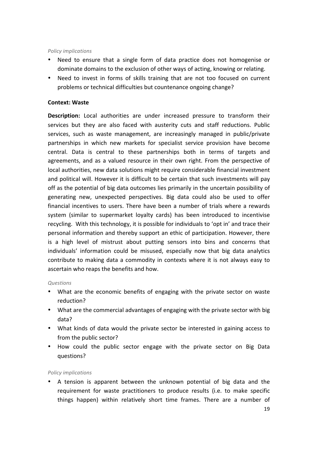#### *Policy implications*

- Need to ensure that a single form of data practice does not homogenise or dominate domains to the exclusion of other ways of acting, knowing or relating.
- Need to invest in forms of skills training that are not too focused on current problems or technical difficulties but countenance ongoing change?

#### **Context: Waste**

**Description:** Local authorities are under increased pressure to transform their services but they are also faced with austerity cuts and staff reductions. Public services, such as waste management, are increasingly managed in public/private partnerships in which new markets for specialist service provision have become central. Data is central to these partnerships both in terms of targets and agreements, and as a valued resource in their own right. From the perspective of local authorities, new data solutions might require considerable financial investment and political will. However it is difficult to be certain that such investments will pay off as the potential of big data outcomes lies primarily in the uncertain possibility of generating new, unexpected perspectives. Big data could also be used to offer financial incentives to users. There have been a number of trials where a rewards system (similar to supermarket loyalty cards) has been introduced to incentivise recycling. With this technology, it is possible for individuals to 'opt in' and trace their personal information and thereby support an ethic of participation. However, there is a high level of mistrust about putting sensors into bins and concerns that individuals' information could be misused, especially now that big data analytics contribute to making data a commodity in contexts where it is not always easy to ascertain who reaps the benefits and how.

#### *Questions*

- What are the economic benefits of engaging with the private sector on waste reduction?
- What are the commercial advantages of engaging with the private sector with big data?
- What kinds of data would the private sector be interested in gaining access to from the public sector?
- How could the public sector engage with the private sector on Big Data questions?

#### *Policy implications*

• A tension is apparent between the unknown potential of big data and the requirement for waste practitioners to produce results (i.e. to make specific things happen) within relatively short time frames. There are a number of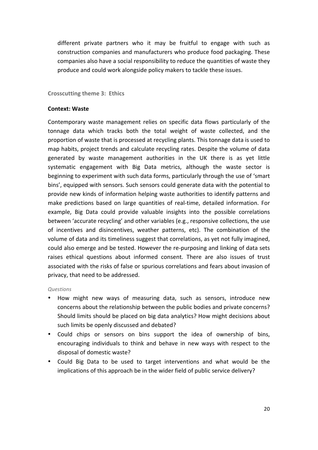different private partners who it may be fruitful to engage with such as construction companies and manufacturers who produce food packaging. These companies also have a social responsibility to reduce the quantities of waste they produce and could work alongside policy makers to tackle these issues.

**Crosscutting theme 3: Ethics** 

#### **Context: Waste**

Contemporary waste management relies on specific data flows particularly of the tonnage data which tracks both the total weight of waste collected, and the proportion of waste that is processed at recycling plants. This tonnage data is used to map habits, project trends and calculate recycling rates. Despite the volume of data generated by waste management authorities in the UK there is as yet little systematic engagement with Big Data metrics, although the waste sector is beginning to experiment with such data forms, particularly through the use of 'smart bins', equipped with sensors. Such sensors could generate data with the potential to provide new kinds of information helping waste authorities to identify patterns and make predictions based on large quantities of real-time, detailed information. For example, Big Data could provide valuable insights into the possible correlations between 'accurate recycling' and other variables (e.g., responsive collections, the use of incentives and disincentives, weather patterns, etc). The combination of the volume of data and its timeliness suggest that correlations, as yet not fully imagined, could also emerge and be tested. However the re-purposing and linking of data sets raises ethical questions about informed consent. There are also issues of trust associated with the risks of false or spurious correlations and fears about invasion of privacy, that need to be addressed.

#### *Questions*

- How might new ways of measuring data, such as sensors, introduce new concerns about the relationship between the public bodies and private concerns? Should limits should be placed on big data analytics? How might decisions about such limits be openly discussed and debated?
- Could chips or sensors on bins support the idea of ownership of bins, encouraging individuals to think and behave in new ways with respect to the disposal of domestic waste?
- Could Big Data to be used to target interventions and what would be the implications of this approach be in the wider field of public service delivery?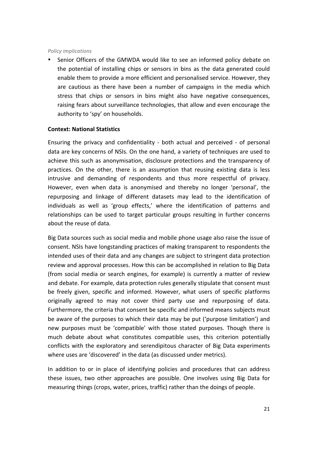#### *Policy implications*

Senior Officers of the GMWDA would like to see an informed policy debate on the potential of installing chips or sensors in bins as the data generated could enable them to provide a more efficient and personalised service. However, they are cautious as there have been a number of campaigns in the media which stress that chips or sensors in bins might also have negative consequences, raising fears about surveillance technologies, that allow and even encourage the authority to 'spy' on households.

#### **Context: National Statistics**

Ensuring the privacy and confidentiality - both actual and perceived - of personal data are key concerns of NSIs. On the one hand, a variety of techniques are used to achieve this such as anonymisation, disclosure protections and the transparency of practices. On the other, there is an assumption that reusing existing data is less intrusive and demanding of respondents and thus more respectful of privacy. However, even when data is anonymised and thereby no longer 'personal', the repurposing and linkage of different datasets may lead to the identification of individuals as well as 'group effects,' where the identification of patterns and relationships can be used to target particular groups resulting in further concerns about the reuse of data.

Big Data sources such as social media and mobile phone usage also raise the issue of consent. NSIs have longstanding practices of making transparent to respondents the intended uses of their data and any changes are subject to stringent data protection review and approval processes. How this can be accomplished in relation to Big Data (from social media or search engines, for example) is currently a matter of review and debate. For example, data protection rules generally stipulate that consent must be freely given, specific and informed. However, what users of specific platforms originally agreed to may not cover third party use and repurposing of data. Furthermore, the criteria that consent be specific and informed means subjects must be aware of the purposes to which their data may be put ('purpose limitation') and new purposes must be 'compatible' with those stated purposes. Though there is much debate about what constitutes compatible uses, this criterion potentially conflicts with the exploratory and serendipitous character of Big Data experiments where uses are 'discovered' in the data (as discussed under metrics).

In addition to or in place of identifying policies and procedures that can address these issues, two other approaches are possible. One involves using Big Data for measuring things (crops, water, prices, traffic) rather than the doings of people.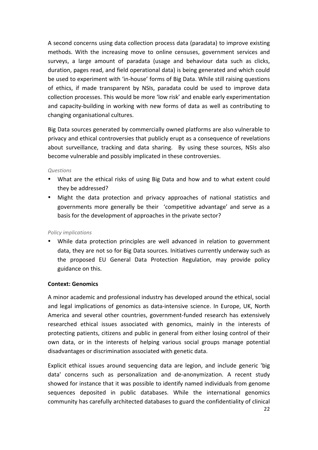A second concerns using data collection process data (paradata) to improve existing methods. With the increasing move to online censuses, government services and surveys, a large amount of paradata (usage and behaviour data such as clicks, duration, pages read, and field operational data) is being generated and which could be used to experiment with 'in-house' forms of Big Data. While still raising questions of ethics, if made transparent by NSIs, paradata could be used to improve data collection processes. This would be more 'low risk' and enable early experimentation and capacity-building in working with new forms of data as well as contributing to changing organisational cultures.

Big Data sources generated by commercially owned platforms are also vulnerable to privacy and ethical controversies that publicly erupt as a consequence of revelations about surveillance, tracking and data sharing. By using these sources, NSIs also become vulnerable and possibly implicated in these controversies.

#### *Questions*

- What are the ethical risks of using Big Data and how and to what extent could they be addressed?
- Might the data protection and privacy approaches of national statistics and governments more generally be their 'competitive advantage' and serve as a basis for the development of approaches in the private sector?

#### *Policy implications*

• While data protection principles are well advanced in relation to government data, they are not so for Big Data sources. Initiatives currently underway such as the proposed EU General Data Protection Regulation, may provide policy guidance on this.

#### **Context: Genomics**

A minor academic and professional industry has developed around the ethical, social and legal implications of genomics as data-intensive science. In Europe, UK, North America and several other countries, government-funded research has extensively researched ethical issues associated with genomics, mainly in the interests of protecting patients, citizens and public in general from either losing control of their own data, or in the interests of helping various social groups manage potential disadvantages or discrimination associated with genetic data.

Explicit ethical issues around sequencing data are legion, and include generic 'big data' concerns such as personalization and de-anonymization. A recent study showed for instance that it was possible to identify named individuals from genome sequences deposited in public databases. While the international genomics community has carefully architected databases to guard the confidentiality of clinical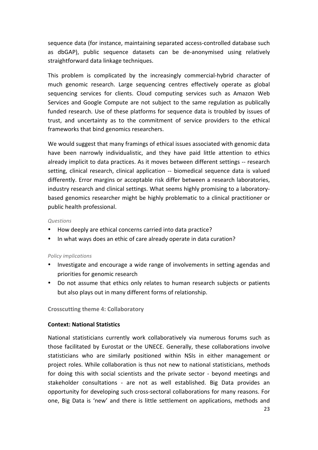sequence data (for instance, maintaining separated access-controlled database such as dbGAP), public sequence datasets can be de-anonymised using relatively straightforward data linkage techniques.

This problem is complicated by the increasingly commercial-hybrid character of much genomic research. Large sequencing centres effectively operate as global sequencing services for clients. Cloud computing services such as Amazon Web Services and Google Compute are not subject to the same regulation as publically funded research. Use of these platforms for sequence data is troubled by issues of trust, and uncertainty as to the commitment of service providers to the ethical frameworks that bind genomics researchers.

We would suggest that many framings of ethical issues associated with genomic data have been narrowly individualistic, and they have paid little attention to ethics already implicit to data practices. As it moves between different settings -- research setting, clinical research, clinical application -- biomedical sequence data is valued differently. Error margins or acceptable risk differ between a research laboratories, industry research and clinical settings. What seems highly promising to a laboratorybased genomics researcher might be highly problematic to a clinical practitioner or public health professional.

#### *Questions*

- How deeply are ethical concerns carried into data practice?
- In what ways does an ethic of care already operate in data curation?

#### *Policy implications*

- Investigate and encourage a wide range of involvements in setting agendas and priorities for genomic research
- Do not assume that ethics only relates to human research subjects or patients but also plays out in many different forms of relationship.

**Crosscutting theme 4: Collaboratory** 

#### **Context: National Statistics**

National statisticians currently work collaboratively via numerous forums such as those facilitated by Eurostat or the UNECE. Generally, these collaborations involve statisticians who are similarly positioned within NSIs in either management or project roles. While collaboration is thus not new to national statisticians, methods for doing this with social scientists and the private sector - beyond meetings and stakeholder consultations - are not as well established. Big Data provides an opportunity for developing such cross-sectoral collaborations for many reasons. For one, Big Data is 'new' and there is little settlement on applications, methods and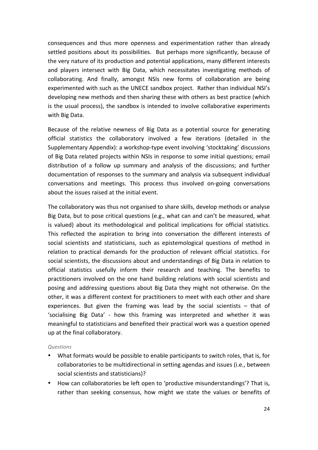consequences and thus more openness and experimentation rather than already settled positions about its possibilities. But perhaps more significantly, because of the very nature of its production and potential applications, many different interests and players intersect with Big Data, which necessitates investigating methods of collaborating. And finally, amongst NSIs new forms of collaboration are being experimented with such as the UNECE sandbox project. Rather than individual NSI's developing new methods and then sharing these with others as best practice (which is the usual process), the sandbox is intended to involve collaborative experiments with Big Data.

Because of the relative newness of Big Data as a potential source for generating official statistics the collaboratory involved a few iterations (detailed in the Supplementary Appendix): a workshop-type event involving 'stocktaking' discussions of Big Data related projects within NSIs in response to some initial questions; email distribution of a follow up summary and analysis of the discussions; and further documentation of responses to the summary and analysis via subsequent individual conversations and meetings. This process thus involved on-going conversations about the issues raised at the initial event.

The collaboratory was thus not organised to share skills, develop methods or analyse Big Data, but to pose critical questions (e.g., what can and can't be measured, what is valued) about its methodological and political implications for official statistics. This reflected the aspiration to bring into conversation the different interests of social scientists and statisticians, such as epistemological questions of method in relation to practical demands for the production of relevant official statistics. For social scientists, the discussions about and understandings of Big Data in relation to official statistics usefully inform their research and teaching. The benefits to practitioners involved on the one hand building relations with social scientists and posing and addressing questions about Big Data they might not otherwise. On the other, it was a different context for practitioners to meet with each other and share experiences. But given the framing was lead by the social scientists  $-$  that of 'socialising Big Data' - how this framing was interpreted and whether it was meaningful to statisticians and benefited their practical work was a question opened up at the final collaboratory.

*Questions*

- What formats would be possible to enable participants to switch roles, that is, for collaboratories to be multidirectional in setting agendas and issues (i.e., between social scientists and statisticians)?
- How can collaboratories be left open to 'productive misunderstandings'? That is, rather than seeking consensus, how might we state the values or benefits of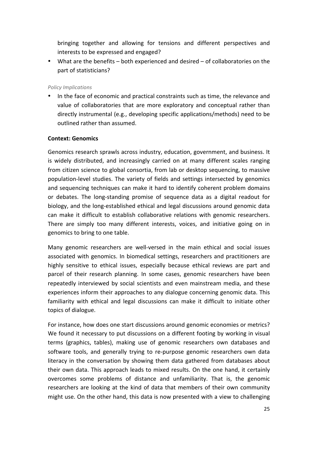bringing together and allowing for tensions and different perspectives and interests to be expressed and engaged?

• What are the benefits  $-$  both experienced and desired  $-$  of collaboratories on the part of statisticians?

#### *Policy Implications*

• In the face of economic and practical constraints such as time, the relevance and value of collaboratories that are more exploratory and conceptual rather than directly instrumental (e.g., developing specific applications/methods) need to be outlined rather than assumed.

#### **Context: Genomics**

Genomics research sprawls across industry, education, government, and business. It is widely distributed, and increasingly carried on at many different scales ranging from citizen science to global consortia, from lab or desktop sequencing, to massive population-level studies. The variety of fields and settings intersected by genomics and sequencing techniques can make it hard to identify coherent problem domains or debates. The long-standing promise of sequence data as a digital readout for biology, and the long-established ethical and legal discussions around genomic data can make it difficult to establish collaborative relations with genomic researchers. There are simply too many different interests, voices, and initiative going on in genomics to bring to one table.

Many genomic researchers are well-versed in the main ethical and social issues associated with genomics. In biomedical settings, researchers and practitioners are highly sensitive to ethical issues, especially because ethical reviews are part and parcel of their research planning. In some cases, genomic researchers have been repeatedly interviewed by social scientists and even mainstream media, and these experiences inform their approaches to any dialogue concerning genomic data. This familiarity with ethical and legal discussions can make it difficult to initiate other topics of dialogue.

For instance, how does one start discussions around genomic economies or metrics? We found it necessary to put discussions on a different footing by working in visual terms (graphics, tables), making use of genomic researchers own databases and software tools, and generally trying to re-purpose genomic researchers own data literacy in the conversation by showing them data gathered from databases about their own data. This approach leads to mixed results. On the one hand, it certainly overcomes some problems of distance and unfamiliarity. That is, the genomic researchers are looking at the kind of data that members of their own community might use. On the other hand, this data is now presented with a view to challenging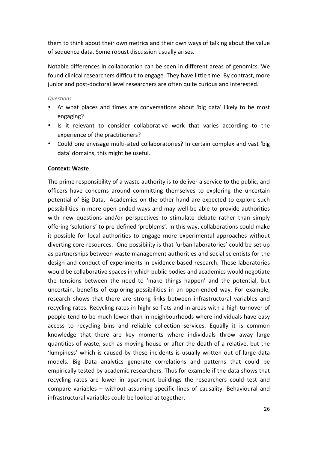them to think about their own metrics and their own ways of talking about the value of sequence data. Some robust discussion usually arises.

Notable differences in collaboration can be seen in different areas of genomics. We found clinical researchers difficult to engage. They have little time. By contrast, more junior and post-doctoral level researchers are often quite curious and interested.

#### *Questions*

- At what places and times are conversations about 'big data' likely to be most engaging?
- Is it relevant to consider collaborative work that varies according to the experience of the practitioners?
- Could one envisage multi-sited collaboratories? In certain complex and vast 'big data' domains, this might be useful.

#### **Context: Waste**

The prime responsibility of a waste authority is to deliver a service to the public, and officers have concerns around committing themselves to exploring the uncertain potential of Big Data. Academics on the other hand are expected to explore such possibilities in more open-ended ways and may well be able to provide authorities with new questions and/or perspectives to stimulate debate rather than simply offering 'solutions' to pre-defined 'problems'. In this way, collaborations could make it possible for local authorities to engage more experimental approaches without diverting core resources. One possibility is that 'urban laboratories' could be set up as partnerships between waste management authorities and social scientists for the design and conduct of experiments in evidence-based research. These laboratories would be collaborative spaces in which public bodies and academics would negotiate the tensions between the need to 'make things happen' and the potential, but uncertain, benefits of exploring possibilities in an open-ended way. For example, research shows that there are strong links between infrastructural variables and recycling rates. Recycling rates in highrise flats and in areas with a high turnover of people tend to be much lower than in neighbourhoods where individuals have easy access to recycling bins and reliable collection services. Equally it is common knowledge that there are key moments where individuals throw away large quantities of waste, such as moving house or after the death of a relative, but the 'lumpiness' which is caused by these incidents is usually written out of large data models. Big Data analytics generate correlations and patterns that could be empirically tested by academic researchers. Thus for example if the data shows that recycling rates are lower in apartment buildings the researchers could test and compare variables  $-$  without assuming specific lines of causality. Behavioural and infrastructural variables could be looked at together.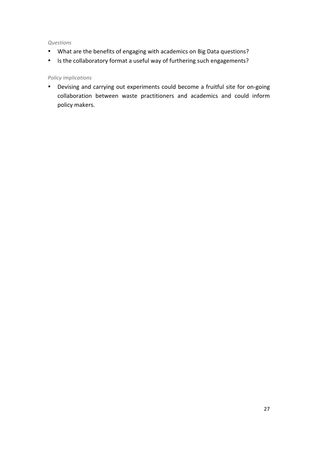#### *Questions*

- What are the benefits of engaging with academics on Big Data questions?
- Is the collaboratory format a useful way of furthering such engagements?

#### *Policy implications*

• Devising and carrying out experiments could become a fruitful site for on-going collaboration between waste practitioners and academics and could inform policy makers.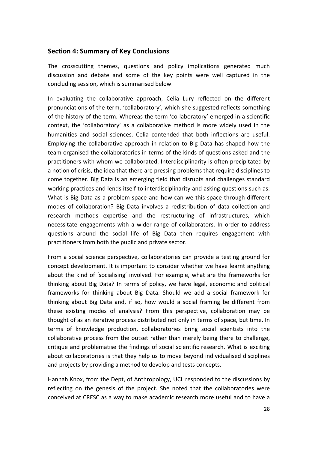#### **Section 4: Summary of Key Conclusions**

The crosscutting themes, questions and policy implications generated much discussion and debate and some of the key points were well captured in the concluding session, which is summarised below.

In evaluating the collaborative approach, Celia Lury reflected on the different pronunciations of the term, 'collaboratory', which she suggested reflects something of the history of the term. Whereas the term 'co-laboratory' emerged in a scientific context, the 'collaboratory' as a collaborative method is more widely used in the humanities and social sciences. Celia contended that both inflections are useful. Employing the collaborative approach in relation to Big Data has shaped how the team organised the collaboratories in terms of the kinds of questions asked and the practitioners with whom we collaborated. Interdisciplinarity is often precipitated by a notion of crisis, the idea that there are pressing problems that require disciplines to come together. Big Data is an emerging field that disrupts and challenges standard working practices and lends itself to interdisciplinarity and asking questions such as: What is Big Data as a problem space and how can we this space through different modes of collaboration? Big Data involves a redistribution of data collection and research methods expertise and the restructuring of infrastructures, which necessitate engagements with a wider range of collaborators. In order to address questions around the social life of Big Data then requires engagement with practitioners from both the public and private sector.

From a social science perspective, collaboratories can provide a testing ground for concept development. It is important to consider whether we have learnt anything about the kind of 'socialising' involved. For example, what are the frameworks for thinking about Big Data? In terms of policy, we have legal, economic and political frameworks for thinking about Big Data. Should we add a social framework for thinking about Big Data and, if so, how would a social framing be different from these existing modes of analysis? From this perspective, collaboration may be thought of as an iterative process distributed not only in terms of space, but time. In terms of knowledge production, collaboratories bring social scientists into the collaborative process from the outset rather than merely being there to challenge, critique and problematise the findings of social scientific research. What is exciting about collaboratories is that they help us to move beyond individualised disciplines and projects by providing a method to develop and tests concepts.

Hannah Knox, from the Dept, of Anthropology, UCL responded to the discussions by reflecting on the genesis of the project. She noted that the collaboratories were conceived at CRESC as a way to make academic research more useful and to have a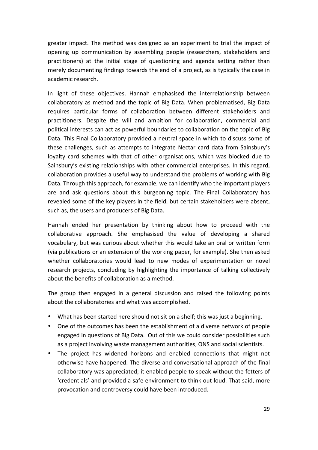greater impact. The method was designed as an experiment to trial the impact of opening up communication by assembling people (researchers, stakeholders and practitioners) at the initial stage of questioning and agenda setting rather than merely documenting findings towards the end of a project, as is typically the case in academic research.

In light of these objectives, Hannah emphasised the interrelationship between collaboratory as method and the topic of Big Data. When problematised, Big Data requires particular forms of collaboration between different stakeholders and practitioners. Despite the will and ambition for collaboration, commercial and political interests can act as powerful boundaries to collaboration on the topic of Big Data. This Final Collaboratory provided a neutral space in which to discuss some of these challenges, such as attempts to integrate Nectar card data from Sainsbury's loyalty card schemes with that of other organisations, which was blocked due to Sainsbury's existing relationships with other commercial enterprises. In this regard, collaboration provides a useful way to understand the problems of working with Big Data. Through this approach, for example, we can identify who the important players are and ask questions about this burgeoning topic. The Final Collaboratory has revealed some of the key players in the field, but certain stakeholders were absent, such as, the users and producers of Big Data.

Hannah ended her presentation by thinking about how to proceed with the collaborative approach. She emphasised the value of developing a shared vocabulary, but was curious about whether this would take an oral or written form (via publications or an extension of the working paper, for example). She then asked whether collaboratories would lead to new modes of experimentation or novel research projects, concluding by highlighting the importance of talking collectively about the benefits of collaboration as a method.

The group then engaged in a general discussion and raised the following points about the collaboratories and what was accomplished.

- What has been started here should not sit on a shelf; this was just a beginning.
- One of the outcomes has been the establishment of a diverse network of people engaged in questions of Big Data. Out of this we could consider possibilities such as a project involving waste management authorities, ONS and social scientists.
- The project has widened horizons and enabled connections that might not otherwise have happened. The diverse and conversational approach of the final collaboratory was appreciated; it enabled people to speak without the fetters of 'credentials' and provided a safe environment to think out loud. That said, more provocation and controversy could have been introduced.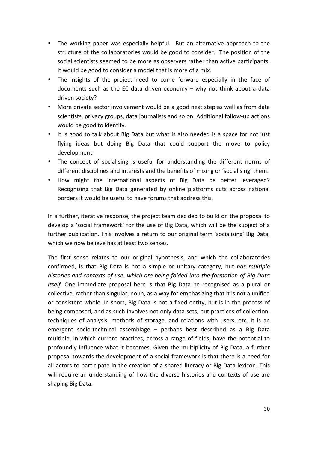- The working paper was especially helpful. But an alternative approach to the structure of the collaboratories would be good to consider. The position of the social scientists seemed to be more as observers rather than active participants. It would be good to consider a model that is more of a mix.
- The insights of the project need to come forward especially in the face of documents such as the EC data driven economy  $-$  why not think about a data driven society?
- More private sector involvement would be a good next step as well as from data scientists, privacy groups, data journalists and so on. Additional follow-up actions would be good to identify.
- It is good to talk about Big Data but what is also needed is a space for not just flying ideas but doing Big Data that could support the move to policy development.
- The concept of socialising is useful for understanding the different norms of different disciplines and interests and the benefits of mixing or 'socialising' them.
- How might the international aspects of Big Data be better leveraged? Recognizing that Big Data generated by online platforms cuts across national borders it would be useful to have forums that address this.

In a further, iterative response, the project team decided to build on the proposal to develop a 'social framework' for the use of Big Data, which will be the subject of a further publication. This involves a return to our original term 'socializing' Big Data, which we now believe has at least two senses.

The first sense relates to our original hypothesis, and which the collaboratories confirmed, is that Big Data is not a simple or unitary category, but *has multiple histories and contexts of use, which are being folded into the formation of Big Data itself.* One immediate proposal here is that Big Data be recognised as a plural or collective, rather than singular, noun, as a way for emphasizing that it is not a unified or consistent whole. In short, Big Data is not a fixed entity, but is in the process of being composed, and as such involves not only data-sets, but practices of collection, techniques of analysis, methods of storage, and relations with users, etc. It is an emergent socio-technical assemblage - perhaps best described as a Big Data multiple, in which current practices, across a range of fields, have the potential to profoundly influence what it becomes. Given the multiplicity of Big Data, a further proposal towards the development of a social framework is that there is a need for all actors to participate in the creation of a shared literacy or Big Data lexicon. This will require an understanding of how the diverse histories and contexts of use are shaping Big Data.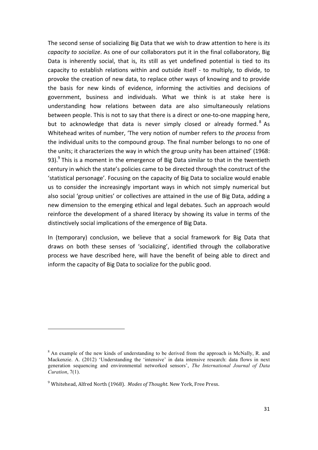The second sense of socializing Big Data that we wish to draw attention to here is *its capacity* to socialize. As one of our collaborators put it in the final collaboratory, Big Data is inherently social, that is, its still as yet undefined potential is tied to its capacity to establish relations within and outside itself - to multiply, to divide, to provoke the creation of new data, to replace other ways of knowing and to provide the basis for new kinds of evidence, informing the activities and decisions of government, business and individuals. What we think is at stake here is understanding how relations between data are also simultaneously relations between people. This is not to say that there is a direct or one-to-one mapping here, but to acknowledge that data is never simply closed or already formed.<sup>8</sup> As Whitehead writes of number, 'The very notion of number refers to *the process* from the individual units to the compound group. The final number belongs to no one of the units; it characterizes the way in which the group unity has been attained' (1968: 93). $9$  This is a moment in the emergence of Big Data similar to that in the twentieth century in which the state's policies came to be directed through the construct of the 'statistical personage'. Focusing on the capacity of Big Data to socialize would enable us to consider the increasingly important ways in which not simply numerical but also social 'group unities' or collectives are attained in the use of Big Data, adding a new dimension to the emerging ethical and legal debates. Such an approach would reinforce the development of a shared literacy by showing its value in terms of the distinctively social implications of the emergence of Big Data.

In (temporary) conclusion, we believe that a social framework for Big Data that draws on both these senses of 'socializing', identified through the collaborative process we have described here, will have the benefit of being able to direct and inform the capacity of Big Data to socialize for the public good.

1

<sup>&</sup>lt;sup>8</sup> An example of the new kinds of understanding to be derived from the approach is McNally, R. and Mackenzie. A. (2012) 'Understanding the 'intensive' in data intensive research: data flows in next generation sequencing and environmental networked sensors', *The International Journal of Data Curation*, 7(1).

<sup>&</sup>lt;sup>9</sup> Whitehead, Alfred North (1968). *Modes of Thought*. New York, Free Press.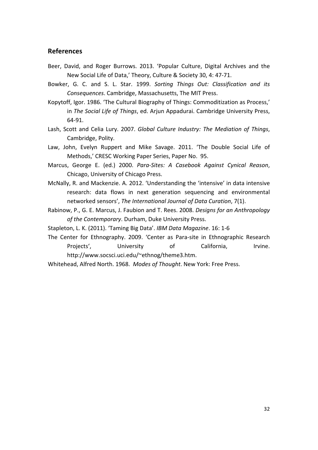#### **References**

- Beer, David, and Roger Burrows. 2013. 'Popular Culture, Digital Archives and the New Social Life of Data,' Theory, Culture & Society 30, 4: 47-71.
- Bowker, G. C. and S. L. Star. 1999. Sorting Things Out: Classification and its *Consequences.* Cambridge, Massachusetts, The MIT Press.
- Kopytoff, Igor. 1986. 'The Cultural Biography of Things: Commoditization as Process,' in The Social Life of Things, ed. Arjun Appadurai. Cambridge University Press, 64-91.
- Lash, Scott and Celia Lury. 2007. Global Culture Industry: The Mediation of Things, Cambridge, Polity.
- Law, John, Evelyn Ruppert and Mike Savage. 2011. 'The Double Social Life of Methods,' CRESC Working Paper Series, Paper No. 95.
- Marcus, George E. (ed.) 2000. Para-Sites: A Casebook Against Cynical Reason, Chicago, University of Chicago Press.
- McNally, R. and Mackenzie. A. 2012. 'Understanding the 'intensive' in data intensive research: data flows in next generation sequencing and environmental networked sensors', The International Journal of Data Curation, 7(1).
- Rabinow, P., G. E. Marcus, J. Faubion and T. Rees. 2008. *Designs for an Anthropology* of the Contemporary. Durham, Duke University Press.
- Stapleton, L. K. (2011). 'Taming Big Data'. *IBM Data Magazine*. 16: 1-6
- The Center for Ethnography. 2009. 'Center as Para-site in Ethnographic Research Projects', 
University 
of California, 
Irvine. http://www.socsci.uci.edu/~ethnog/theme3.htm.
- Whitehead, Alfred North. 1968. Modes of Thought. New York: Free Press.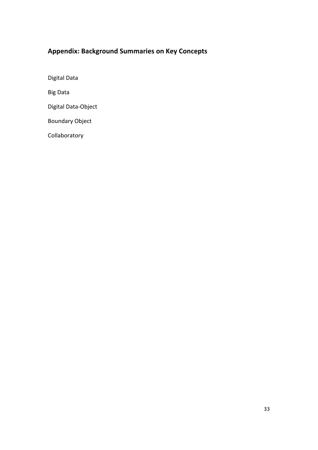## **Appendix: Background Summaries on Key Concepts**

Digital Data

Big Data

Digital Data-Object

Boundary Object

Collaboratory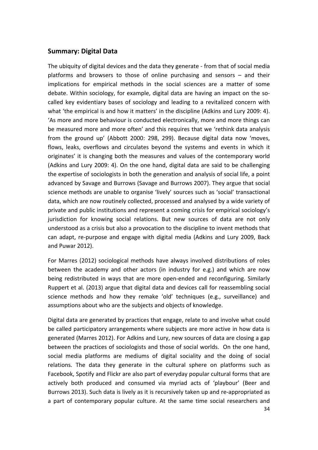#### **Summary: Digital Data**

The ubiquity of digital devices and the data they generate - from that of social media platforms and browsers to those of online purchasing and sensors  $-$  and their implications for empirical methods in the social sciences are a matter of some debate. Within sociology, for example, digital data are having an impact on the socalled key evidentiary bases of sociology and leading to a revitalized concern with what 'the empirical is and how it matters' in the discipline (Adkins and Lury 2009: 4). 'As more and more behaviour is conducted electronically, more and more things can be measured more and more often' and this requires that we 'rethink data analysis from the ground up' (Abbott 2000: 298, 299). Because digital data now 'moves, flows, leaks, overflows and circulates beyond the systems and events in which it originates' it is changing both the measures and values of the contemporary world (Adkins and Lury 2009: 4). On the one hand, digital data are said to be challenging the expertise of sociologists in both the generation and analysis of social life, a point advanced by Savage and Burrows (Savage and Burrows 2007). They argue that social science methods are unable to organise 'lively' sources such as 'social' transactional data, which are now routinely collected, processed and analysed by a wide variety of private and public institutions and represent a coming crisis for empirical sociology's jurisdiction for knowing social relations. But new sources of data are not only understood as a crisis but also a provocation to the discipline to invent methods that can adapt, re-purpose and engage with digital media (Adkins and Lury 2009, Back and Puwar 2012).

For Marres (2012) sociological methods have always involved distributions of roles between the academy and other actors (in industry for e.g.) and which are now being redistributed in ways that are more open-ended and reconfiguring. Similarly Ruppert et al. (2013) argue that digital data and devices call for reassembling social science methods and how they remake 'old' techniques (e.g., surveillance) and assumptions about who are the subjects and objects of knowledge.

Digital data are generated by practices that engage, relate to and involve what could be called participatory arrangements where subjects are more active in how data is generated (Marres 2012). For Adkins and Lury, new sources of data are closing a gap between the practices of sociologists and those of social worlds. On the one hand, social media platforms are mediums of digital sociality and the doing of social relations. The data they generate in the cultural sphere on platforms such as Facebook, Spotify and Flickr are also part of everyday popular cultural forms that are actively both produced and consumed via myriad acts of 'playbour' (Beer and Burrows 2013). Such data is lively as it is recursively taken up and re-appropriated as a part of contemporary popular culture. At the same time social researchers and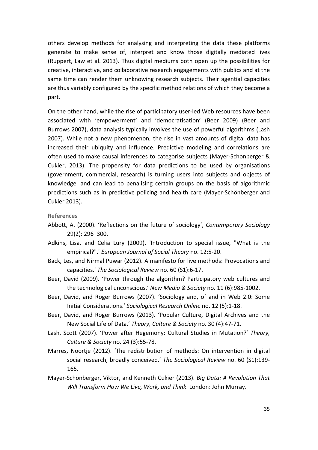others develop methods for analysing and interpreting the data these platforms generate to make sense of, interpret and know those digitally mediated lives (Ruppert, Law et al. 2013). Thus digital mediums both open up the possibilities for creative, interactive, and collaborative research engagements with publics and at the same time can render them unknowing research subjects. Their agential capacities are thus variably configured by the specific method relations of which they become a part.

On the other hand, while the rise of participatory user-led Web resources have been associated with 'empowerment' and 'democratisation' (Beer 2009) (Beer and Burrows 2007), data analysis typically involves the use of powerful algorithms (Lash 2007). While not a new phenomenon, the rise in vast amounts of digital data has increased their ubiquity and influence. Predictive modeling and correlations are often used to make causal inferences to categorise subjects (Mayer-Schonberger & Cukier, 2013). The propensity for data predictions to be used by organisations (government, commercial, research) is turning users into subjects and objects of knowledge, and can lead to penalising certain groups on the basis of algorithmic predictions such as in predictive policing and health care (Mayer-Schönberger and Cukier 2013). 

#### **References**

- Abbott, A. (2000). 'Reflections on the future of sociology', *Contemporary Sociology* 29(2): 296–300.
- Adkins, Lisa, and Celia Lury (2009). 'Introduction to special issue, "What is the empirical?".' *European Journal of Social Theory* no. 12:5-20.
- Back, Les, and Nirmal Puwar (2012). A manifesto for live methods: Provocations and capacities.' *The Sociological Review* no. 60 (S1):6-17.
- Beer, David (2009). 'Power through the algorithm? Participatory web cultures and the technological unconscious.' New Media & Society no. 11 (6):985-1002.
- Beer, David, and Roger Burrows (2007). 'Sociology and, of and in Web 2.0: Some Initial Considerations.' Sociological Research Online no. 12 (5):1-18.
- Beer, David, and Roger Burrows (2013). 'Popular Culture, Digital Archives and the New Social Life of Data.' Theory, Culture & Society no. 30 (4):47-71.
- Lash, Scott (2007). 'Power after Hegemony: Cultural Studies in Mutation?' Theory, *Culture & Society* no. 24 (3):55-78.
- Marres, Noortje (2012). 'The redistribution of methods: On intervention in digital social research, broadly conceived.' The Sociological Review no. 60 (S1):139-165.
- Mayer-Schönberger, Viktor, and Kenneth Cukier (2013). *Big Data: A Revolution That Will Transform How We Live, Work, and Think. London: John Murray.*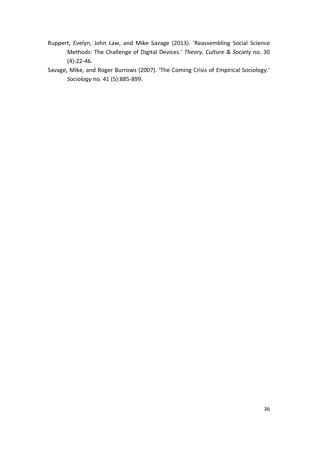- Ruppert, Evelyn, John Law, and Mike Savage (2013). 'Reassembling Social Science Methods: The Challenge of Digital Devices.' Theory, Culture & Society no. 30 (4):22-46.
- Savage, Mike, and Roger Burrows (2007). 'The Coming Crisis of Empirical Sociology.' *Sociology* no. 41 (5):885-899.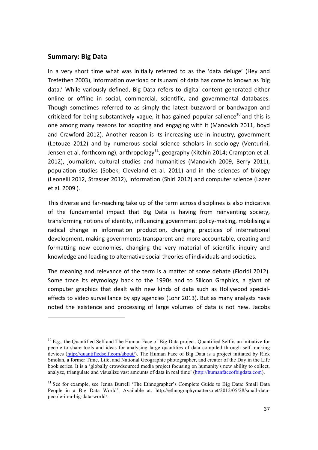#### **Summary: Big Data**

1

In a very short time what was initially referred to as the 'data deluge' (Hey and Trefethen 2003), information overload or tsunami of data has come to known as 'big data.' While variously defined, Big Data refers to digital content generated either online or offline in social, commercial, scientific, and governmental databases. Though sometimes referred to as simply the latest buzzword or bandwagon and criticized for being substantively vague, it has gained popular salience<sup>10</sup> and this is one among many reasons for adopting and engaging with it (Manovich 2011, boyd and Crawford 2012). Another reason is its increasing use in industry, government (Letouze 2012) and by numerous social science scholars in sociology (Venturini, Jensen et al. forthcoming), anthropology<sup>11</sup>, geography (Kitchin 2014; Crampton et al. 2012), journalism, cultural studies and humanities (Manovich 2009, Berry 2011), population studies (Sobek, Cleveland et al. 2011) and in the sciences of biology (Leonelli 2012, Strasser 2012), information (Shiri 2012) and computer science (Lazer et al. 2009 ).

This diverse and far-reaching take up of the term across disciplines is also indicative of the fundamental impact that Big Data is having from reinventing society, transforming notions of identity, influencing government policy-making, mobilising a radical change in information production, changing practices of international development, making governments transparent and more accountable, creating and formatting new economies, changing the very material of scientific inquiry and knowledge and leading to alternative social theories of individuals and societies.

The meaning and relevance of the term is a matter of some debate (Floridi 2012). Some trace its etymology back to the 1990s and to Silicon Graphics, a giant of computer graphics that dealt with new kinds of data such as Hollywood specialeffects to video surveillance by spy agencies (Lohr 2013). But as many analysts have noted the existence and processing of large volumes of data is not new. Jacobs

<sup>&</sup>lt;sup>10</sup> E.g., the Quantified Self and The Human Face of Big Data project. Quantified Self is an initiative for people to share tools and ideas for analysing large quantities of data compiled through self-tracking devices (http://quantifiedself.com/about/). The Human Face of Big Data is a project initiated by Rick Smolan, a former Time, Life, and National Geographic photographer, and creator of the Day in the Life book series. It is a 'globally crowdsourced media project focusing on humanity's new ability to collect, analyze, triangulate and visualize vast amounts of data in real time' (http://humanfaceofbigdata.com).

<sup>&</sup>lt;sup>11</sup> See for example, see Jenna Burrell 'The Ethnographer's Complete Guide to Big Data: Small Data People in a Big Data World', Available at: http://ethnographymatters.net/2012/05/28/small-datapeople-in-a-big-data-world/.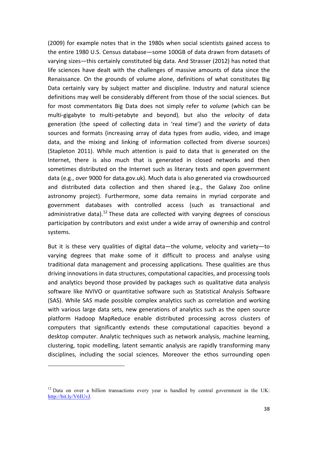(2009) for example notes that in the 1980s when social scientists gained access to the entire 1980 U.S. Census database—some 100GB of data drawn from datasets of varying sizes—this certainly constituted big data. And Strasser (2012) has noted that life sciences have dealt with the challenges of massive amounts of data since the Renaissance. On the grounds of volume alone, definitions of what constitutes Big Data certainly vary by subject matter and discipline. Industry and natural science definitions may well be considerably different from those of the social sciences. But for most commentators Big Data does not simply refer to *volume* (which can be multi-gigabyte to multi-petabyte and beyond), but also the *velocity* of data generation (the speed of collecting data in 'real time') and the *variety* of data sources and formats (increasing array of data types from audio, video, and image data, and the mixing and linking of information collected from diverse sources) (Stapleton 2011). While much attention is paid to data that is generated on the Internet, there is also much that is generated in closed networks and then sometimes distributed on the Internet such as literary texts and open government data (e.g., over 9000 for data.gov.uk). Much data is also generated via crowdsourced and distributed data collection and then shared (e.g., the Galaxy Zoo online astronomy project). Furthermore, some data remains in myriad corporate and government databases with controlled access (such as transactional and administrative data).<sup>12</sup> These data are collected with varying degrees of conscious participation by contributors and exist under a wide array of ownership and control systems.

But it is these very qualities of digital data—the volume, velocity and variety—to varying degrees that make some of it difficult to process and analyse using traditional data management and processing applications. These qualities are thus driving innovations in data structures, computational capacities, and processing tools and analytics beyond those provided by packages such as qualitative data analysis software like NVIVO or quantitative software such as Statistical Analysis Software (SAS). While SAS made possible complex analytics such as correlation and working with various large data sets, new generations of analytics such as the open source platform Hadoop MapReduce enable distributed processing across clusters of computers that significantly extends these computational capacities beyond a desktop computer. Analytic techniques such as network analysis, machine learning, clustering, topic modelling, latent semantic analysis are rapidly transforming many disciplines, including the social sciences. Moreover the ethos surrounding open

1

<sup>&</sup>lt;sup>12</sup> Data on over a billion transactions every year is handled by central government in the UK: http://bit.ly/V6IUvJ.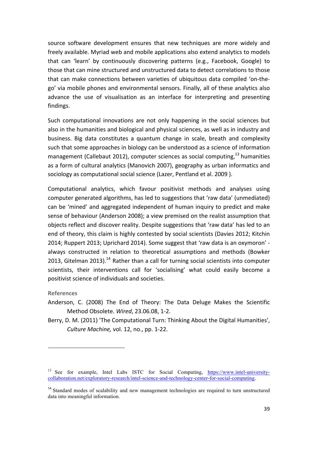source software development ensures that new techniques are more widely and freely available. Myriad web and mobile applications also extend analytics to models that can 'learn' by continuously discovering patterns (e.g., Facebook, Google) to those that can mine structured and unstructured data to detect correlations to those that can make connections between varieties of ubiquitous data compiled 'on-thego' via mobile phones and environmental sensors. Finally, all of these analytics also advance the use of visualisation as an interface for interpreting and presenting findings. 

Such computational innovations are not only happening in the social sciences but also in the humanities and biological and physical sciences, as well as in industry and business. Big data constitutes a quantum change in scale, breath and complexity such that some approaches in biology can be understood as a science of information management (Callebaut 2012), computer sciences as social computing,  $13$  humanities as a form of cultural analytics (Manovich 2007), geography as urban informatics and sociology as computational social science (Lazer, Pentland et al. 2009).

Computational analytics, which favour positivist methods and analyses using computer generated algorithms, has led to suggestions that 'raw data' (unmediated) can be 'mined' and aggregated independent of human inquiry to predict and make sense of behaviour (Anderson 2008); a view premised on the realist assumption that objects reflect and discover reality. Despite suggestions that 'raw data' has led to an end of theory, this claim is highly contested by social scientists (Davies 2012; Kitchin 2014; Ruppert 2013; Uprichard 2014). Some suggest that 'raw data is an oxymoron' always constructed in relation to theoretical assumptions and methods (Bowker 2013, Gitelman 2013).<sup>14</sup> Rather than a call for turning social scientists into computer scientists, their interventions call for 'socialising' what could easily become a positivist science of individuals and societies.

#### **References**

1

- Anderson, C. (2008) The End of Theory: The Data Deluge Makes the Scientific Method Obsolete. *Wired*, 23.06.08, 1-2.
- Berry, D. M. (2011) 'The Computational Turn: Thinking About the Digital Humanities', *Culture Machine, vol.* 12, no., pp. 1-22.

<sup>&</sup>lt;sup>13</sup> See for example, Intel Labs ISTC for Social Computing, https://www.intel-universitycollaboration.net/exploratory-research/intel-science-and-technology-center-for-social-computing.

<sup>&</sup>lt;sup>14</sup> Standard modes of scalability and new management technologies are required to turn unstructured data into meaningful information.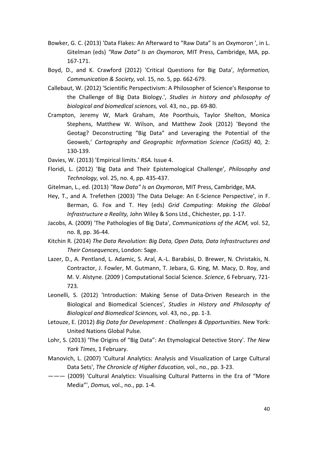- Bowker, G. C. (2013) 'Data Flakes: An Afterward to "Raw Data" Is an Oxymoron ', in L. Gitelman (eds) "Raw Data" Is an Oxymoron, MIT Press, Cambridge, MA, pp. 167-171.
- Boyd, D., and K. Crawford (2012) 'Critical Questions for Big Data', *Information*, *Communication & Society, vol.* 15, no. 5, pp. 662-679.
- Callebaut, W. (2012) 'Scientific Perspectivism: A Philosopher of Science's Response to the Challenge of Big Data Biology.', *Studies in history and philosophy of biological and biomedical sciences,* vol. 43, no., pp. 69-80.
- Crampton, Jeremy W, Mark Graham, Ate Poorthuis, Taylor Shelton, Monica Stephens, Matthew W. Wilson, and Matthew Zook (2012) 'Beyond the Geotag? Deconstructing "Big Data" and Leveraging the Potential of the Geoweb,' *Cartography and Geographic Information Science (CaGIS)* 40, 2: 130-139.
- Davies, W. (2013) 'Empirical limits.' *RSA.* Issue 4.
- Floridi, L. (2012) 'Big Data and Their Epistemological Challenge', *Philosophy and Technology, vol.* 25, no. 4, pp. 435-437.
- Gitelman, L., ed. (2013) "Raw Data" Is an Oxymoron, MIT Press, Cambridge, MA.
- Hey, T., and A. Trefethen (2003) 'The Data Deluge: An E-Science Perspective', in F. Berman, G. Fox and T. Hey (eds) Grid Computing: Making the Global *Infrastructure a Reality, John Wiley & Sons Ltd., Chichester, pp. 1-17.*
- Jacobs, A. (2009) 'The Pathologies of Big Data', *Communications of the ACM*, vol. 52, no. 8, pp. 36-44.
- Kitchin R. (2014) *The Data Revolution: Big Data, Open Data, Data Infrastructures and Their Consequences*, London: Sage.
- Lazer, D., A. Pentland, L. Adamic, S. Aral, A.-L. Barabási, D. Brewer, N. Christakis, N. Contractor, J. Fowler, M. Gutmann, T. Jebara, G. King, M. Macy, D. Roy, and M. V. Alstyne. (2009 ) Computational Social Science. *Science*, 6 February, 721-723.
- Leonelli, S. (2012) 'Introduction: Making Sense of Data-Driven Research in the Biological and Biomedical Sciences', *Studies in History and Philosophy of Biological and Biomedical Sciences, vol.* 43, no., pp. 1-3.
- Letouze, E. (2012) *Big Data for Development : Challenges & Opportunities*. New York: United Nations Global Pulse.
- Lohr, S. (2013) 'The Origins of "Big Data": An Etymological Detective Story'. The New *York Times*, 1 February.
- Manovich, L. (2007) 'Cultural Analytics: Analysis and Visualization of Large Cultural Data Sets', *The Chronicle of Higher Education*, vol., no., pp. 3-23.
- ——— (2009) 'Cultural Analytics: Visualising Cultural Patterns in the Era of "More Media"', *Domus*, vol., no., pp. 1-4.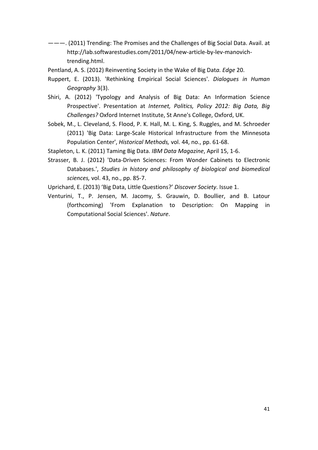———. (2011) Trending: The Promises and the Challenges of Big Social Data. Avail. at http://lab.softwarestudies.com/2011/04/new-article-by-lev-manovichtrending.html. 

Pentland, A. S. (2012) Reinventing Society in the Wake of Big Data. *Edge* 20.

- Ruppert, E. (2013). 'Rethinking Empirical Social Sciences'. *Dialogues in Human Geography* 3(3).
- Shiri, A. (2012) 'Typology and Analysis of Big Data: An Information Science Prospective'. Presentation at *Internet, Politics, Policy 2012: Big Data, Big Challenges?* Oxford Internet Institute, St Anne's College, Oxford, UK.
- Sobek, M., L. Cleveland, S. Flood, P. K. Hall, M. L. King, S. Ruggles, and M. Schroeder (2011) 'Big Data: Large-Scale Historical Infrastructure from the Minnesota Population Center', *Historical Methods*, vol. 44, no., pp. 61-68.
- Stapleton, L. K. (2011) Taming Big Data. *IBM Data Magazine*, April 15, 1-6.
- Strasser, B. J. (2012) 'Data-Driven Sciences: From Wonder Cabinets to Electronic Databases.', *Studies in history and philosophy of biological and biomedical sciences,* vol. 43, no., pp. 85-7.
- Uprichard, E. (2013) 'Big Data, Little Questions?' Discover Society. Issue 1.
- Venturini, T., P. Jensen, M. Jacomy, S. Grauwin, D. Boullier, and B. Latour (forthcoming) 'From Explanation to Description: On Mapping in Computational Social Sciences'. *Nature*.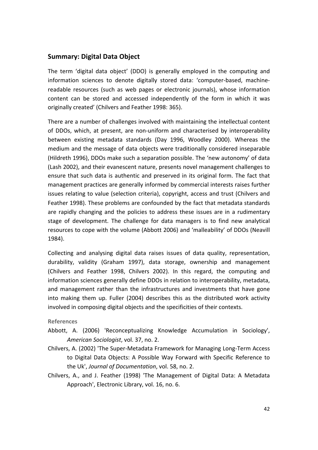### **Summary: Digital Data Object**

The term 'digital data object' (DDO) is generally employed in the computing and information sciences to denote digitally stored data: 'computer-based, machinereadable resources (such as web pages or electronic journals), whose information content can be stored and accessed independently of the form in which it was originally created' (Chilvers and Feather 1998: 365).

There are a number of challenges involved with maintaining the intellectual content of DDOs, which, at present, are non-uniform and characterised by interoperability between existing metadata standards (Day 1996, Woodley 2000). Whereas the medium and the message of data objects were traditionally considered inseparable (Hildreth 1996), DDOs make such a separation possible. The 'new autonomy' of data (Lash 2002), and their evanescent nature, presents novel management challenges to ensure that such data is authentic and preserved in its original form. The fact that management practices are generally informed by commercial interests raises further issues relating to value (selection criteria), copyright, access and trust (Chilvers and Feather 1998). These problems are confounded by the fact that metadata standards are rapidly changing and the policies to address these issues are in a rudimentary stage of development. The challenge for data managers is to find new analytical resources to cope with the volume (Abbott 2006) and 'malleability' of DDOs (Neavill 1984).

Collecting and analysing digital data raises issues of data quality, representation, durability, validity (Graham 1997), data storage, ownership and management (Chilvers and Feather 1998, Chilvers 2002). In this regard, the computing and information sciences generally define DDOs in relation to interoperability, metadata, and management rather than the infrastructures and investments that have gone into making them up. Fuller (2004) describes this as the distributed work activity involved in composing digital objects and the specificities of their contexts.

**References**

- Abbott, A. (2006) 'Reconceptualizing Knowledge Accumulation in Sociology', *American Sociologist*, vol. 37, no. 2.
- Chilvers, A. (2002) 'The Super-Metadata Framework for Managing Long-Term Access to Digital Data Objects: A Possible Way Forward with Specific Reference to the Uk', *Journal of Documentation*, vol. 58, no. 2.
- Chilvers, A., and J. Feather (1998) 'The Management of Digital Data: A Metadata Approach', Electronic Library, vol. 16, no. 6.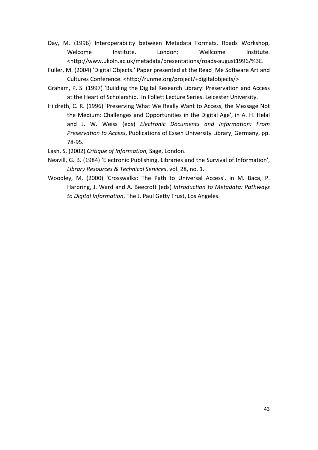- Day, M. (1996) Interoperability between Metadata Formats, Roads Workshop, Welcome Institute. London: Wellcome Institute. <http://www.ukoln.ac.uk/metadata/presentations/roads-august1996/%3E.
- Fuller, M. (2004) 'Digital Objects.' Paper presented at the Read Me Software Art and Cultures Conference. <http://runme.org/project/+digitalobjects/>
- Graham, P. S. (1997) 'Building the Digital Research Library: Preservation and Access at the Heart of Scholarship.' In Follett Lecture Series. Leicester University.
- Hildreth, C. R. (1996) 'Preserving What We Really Want to Access, the Message Not the Medium: Challenges and Opportunities in the Digital Age', in A. H. Helal and J. W. Weiss (eds) *Electronic Documents and Information: From Preservation to Access*, Publications of Essen University Library, Germany, pp. 78-95.
- Lash, S. (2002) *Critique of Information*, Sage, London.
- Neavill, G. B. (1984) 'Electronic Publishing, Libraries and the Survival of Information', *Library Resources & Technical Services*, vol. 28, no. 1.
- Woodley, M. (2000) 'Crosswalks: The Path to Universal Access', in M. Baca, P. Harpring, J. Ward and A. Beecroft (eds) Introduction to Metadata: Pathways to Digital Information, The J. Paul Getty Trust, Los Angeles.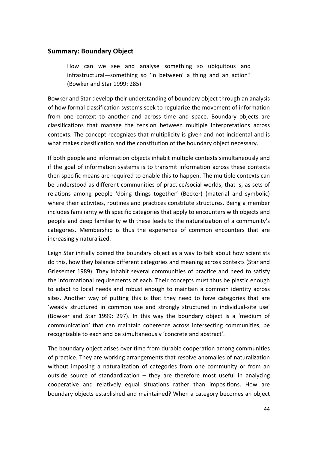#### **Summary: Boundary Object**

How can we see and analyse something so ubiquitous and infrastructural—something so 'in between' a thing and an action? (Bowker and Star 1999: 285)

Bowker and Star develop their understanding of boundary object through an analysis of how formal classification systems seek to regularize the movement of information from one context to another and across time and space. Boundary objects are classifications that manage the tension between multiple interpretations across contexts. The concept recognizes that multiplicity is given and not incidental and is what makes classification and the constitution of the boundary object necessary.

If both people and information objects inhabit multiple contexts simultaneously and if the goal of information systems is to transmit information across these contexts then specific means are required to enable this to happen. The multiple contexts can be understood as different communities of practice/social worlds, that is, as sets of relations among people 'doing things together' (Becker) (material and symbolic) where their activities, routines and practices constitute structures. Being a member includes familiarity with specific categories that apply to encounters with objects and people and deep familiarity with these leads to the naturalization of a community's categories. Membership is thus the experience of common encounters that are increasingly naturalized.

Leigh Star initially coined the boundary object as a way to talk about how scientists do this, how they balance different categories and meaning across contexts (Star and Griesemer 1989). They inhabit several communities of practice and need to satisfy the informational requirements of each. Their concepts must thus be plastic enough to adapt to local needs and robust enough to maintain a common identity across sites. Another way of putting this is that they need to have categories that are 'weakly structured in common use and strongly structured in individual-site use' (Bowker and Star 1999: 297). In this way the boundary object is a 'medium of communication' that can maintain coherence across intersecting communities, be recognizable to each and be simultaneously 'concrete and abstract'.

The boundary object arises over time from durable cooperation among communities of practice. They are working arrangements that resolve anomalies of naturalization without imposing a naturalization of categories from one community or from an outside source of standardization  $-$  they are therefore most useful in analyzing cooperative and relatively equal situations rather than impositions. How are boundary objects established and maintained? When a category becomes an object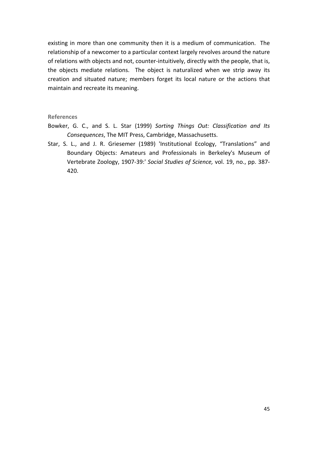existing in more than one community then it is a medium of communication. The relationship of a newcomer to a particular context largely revolves around the nature of relations with objects and not, counter-intuitively, directly with the people, that is, the objects mediate relations. The object is naturalized when we strip away its creation and situated nature; members forget its local nature or the actions that maintain and recreate its meaning.

#### **References**

- Bowker, G. C., and S. L. Star (1999) Sorting Things Out: Classification and Its Consequences, The MIT Press, Cambridge, Massachusetts.
- Star, S. L., and J. R. Griesemer (1989) 'Institutional Ecology, "Translations" and Boundary Objects: Amateurs and Professionals in Berkeley's Museum of Vertebrate Zoology, 1907-39:' Social Studies of Science, vol. 19, no., pp. 387-420.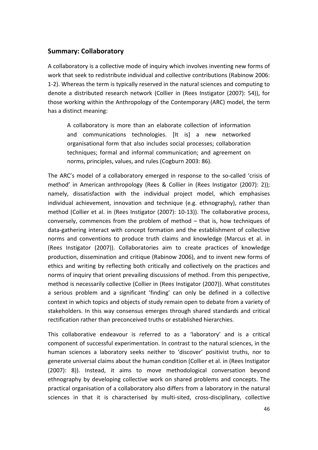#### **Summary: Collaboratory**

A collaboratory is a collective mode of inquiry which involves inventing new forms of work that seek to redistribute individual and collective contributions (Rabinow 2006: 1-2). Whereas the term is typically reserved in the natural sciences and computing to denote a distributed research network (Collier in (Rees Instigator (2007): 54)), for those working within the Anthropology of the Contemporary (ARC) model, the term has a distinct meaning:

A collaboratory is more than an elaborate collection of information and communications technologies. [It is] a new networked organisational form that also includes social processes: collaboration techniques; formal and informal communication; and agreement on norms, principles, values, and rules (Cogburn 2003: 86).

The ARC's model of a collaboratory emerged in response to the so-called 'crisis of method' in American anthropology (Rees & Collier in (Rees Instigator (2007): 2)); namely, dissatisfaction with the individual project model, which emphasises individual achievement, innovation and technique (e.g. ethnography), rather than method (Collier et al. in (Rees Instigator (2007): 10-13)). The collaborative process, conversely, commences from the problem of method  $-$  that is, how techniques of data-gathering interact with concept formation and the establishment of collective norms and conventions to produce truth claims and knowledge (Marcus et al. in (Rees Instigator (2007)). Collaboratories aim to create practices of knowledge production, dissemination and critique (Rabinow 2006), and to invent new forms of ethics and writing by reflecting both critically and collectively on the practices and norms of inquiry that orient prevailing discussions of method. From this perspective, method is necessarily collective (Collier in (Rees Instigator (2007)). What constitutes a serious problem and a significant 'finding' can only be defined in a collective context in which topics and objects of study remain open to debate from a variety of stakeholders. In this way consensus emerges through shared standards and critical rectification rather than preconceived truths or established hierarchies.

This collaborative endeavour is referred to as a 'laboratory' and is a critical component of successful experimentation. In contrast to the natural sciences, in the human sciences a laboratory seeks neither to 'discover' positivist truths, nor to generate universal claims about the human condition (Collier et al. in (Rees Instigator (2007): 8)). Instead, it aims to move methodological conversation beyond ethnography by developing collective work on shared problems and concepts. The practical organisation of a collaboratory also differs from a laboratory in the natural sciences in that it is characterised by multi-sited, cross-disciplinary, collective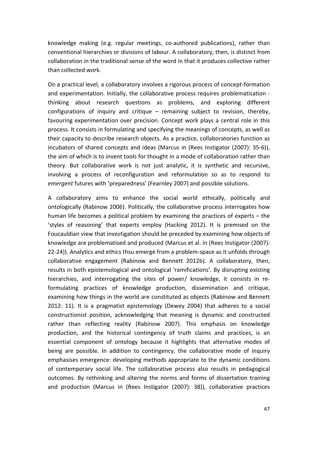knowledge making (e.g. regular meetings, co-authored publications), rather than conventional hierarchies or divisions of labour. A collaboratory, then, is distinct from collaboration in the traditional sense of the word in that it produces collective rather than collected work.

On a practical level, a collaboratory involves a rigorous process of concept-formation and experimentation. Initially, the collaborative process requires problematisation thinking about research questions as problems, and exploring different configurations of inquiry and critique  $-$  remaining subject to revision, thereby, favouring experimentation over precision. Concept work plays a central role in this process. It consists in formulating and specifying the meanings of concepts, as well as their capacity to describe research objects. As a practice, collaboratories function as incubators of shared concepts and ideas (Marcus in (Rees Instigator (2007): 35-6)), the aim of which is to invent tools for thought in a mode of collaboration rather than theory. But collaborative work is not just analytic, it is synthetic and recursive, involving a process of reconfiguration and reformulation so as to respond to *emergent* futures with 'preparedness' (Fearnley 2007) and possible solutions.

A collaboratory aims to enhance the social world ethically, politically and ontologically (Rabinow 2006). Politically, the collaborative process interrogates how human life becomes a political problem by examining the practices of experts  $-$  the 'styles of reasoning' that experts employ (Hacking 2012). It is premised on the Foucauldian view that investigation should be preceded by examining how objects of knowledge are problematised and produced (Marcus et al. in (Rees Instigator (2007): 22-24)). Analytics and ethics thsu emerge from a problem-space as it unfolds through collaborative engagement (Rabinow and Bennett 2012b). A collaboratory, then, results in both epistemological and ontological 'ramifications'. By disrupting existing hierarchies, and interrogating the sites of power/ knowledge, it consists in reformulating practices of knowledge production, dissemination and critique, examining how things in the world are constituted as objects (Rabinow and Bennett 2012: 11). It is a pragmatist epistemology (Dewey 2004) that adheres to a social constructionist position, acknowledging that meaning is dynamic and constructed rather than reflecting reality (Rabinow 2007). This emphasis on knowledge production, and the historical contingency of truth claims and practices, is an essential component of ontology because it highlights that alternative modes of being are possible. In addition to contingency, the collaborative mode of inquiry emphasises emergence: developing methods appropriate to the dynamic conditions of contemporary social life. The collaborative process also results in pedagogical outcomes. By rethinking and altering the norms and forms of dissertation training and production (Marcus in (Rees Instigator (2007): 38)), collaborative practices